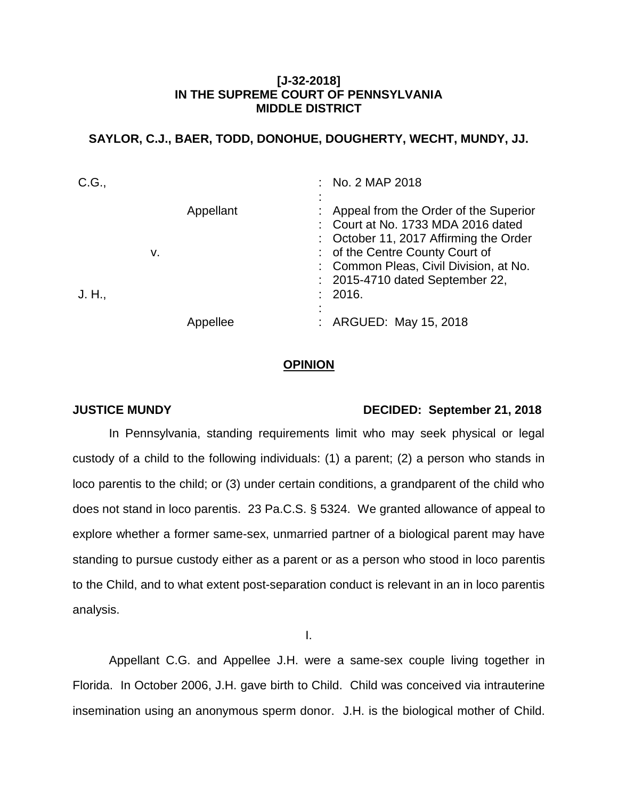## **[J-32-2018] IN THE SUPREME COURT OF PENNSYLVANIA MIDDLE DISTRICT**

# **SAYLOR, C.J., BAER, TODD, DONOHUE, DOUGHERTY, WECHT, MUNDY, JJ.**

| C.G.,  |    |           | : No. 2 MAP 2018                                                                                                                                                                                                                                   |
|--------|----|-----------|----------------------------------------------------------------------------------------------------------------------------------------------------------------------------------------------------------------------------------------------------|
| J. H., | v. | Appellant | : Appeal from the Order of the Superior<br>: Court at No. 1733 MDA 2016 dated<br>: October 11, 2017 Affirming the Order<br>: of the Centre County Court of<br>: Common Pleas, Civil Division, at No.<br>: 2015-4710 dated September 22,<br>: 2016. |
|        |    | Appellee  | : ARGUED: May 15, 2018                                                                                                                                                                                                                             |

### **OPINION**

### **JUSTICE MUNDY DECIDED: September 21, 2018**

In Pennsylvania, standing requirements limit who may seek physical or legal custody of a child to the following individuals: (1) a parent; (2) a person who stands in loco parentis to the child; or (3) under certain conditions, a grandparent of the child who does not stand in loco parentis. 23 Pa.C.S. § 5324. We granted allowance of appeal to explore whether a former same-sex, unmarried partner of a biological parent may have standing to pursue custody either as a parent or as a person who stood in loco parentis to the Child, and to what extent post-separation conduct is relevant in an in loco parentis analysis.

I.

Appellant C.G. and Appellee J.H. were a same-sex couple living together in Florida. In October 2006, J.H. gave birth to Child. Child was conceived via intrauterine insemination using an anonymous sperm donor. J.H. is the biological mother of Child.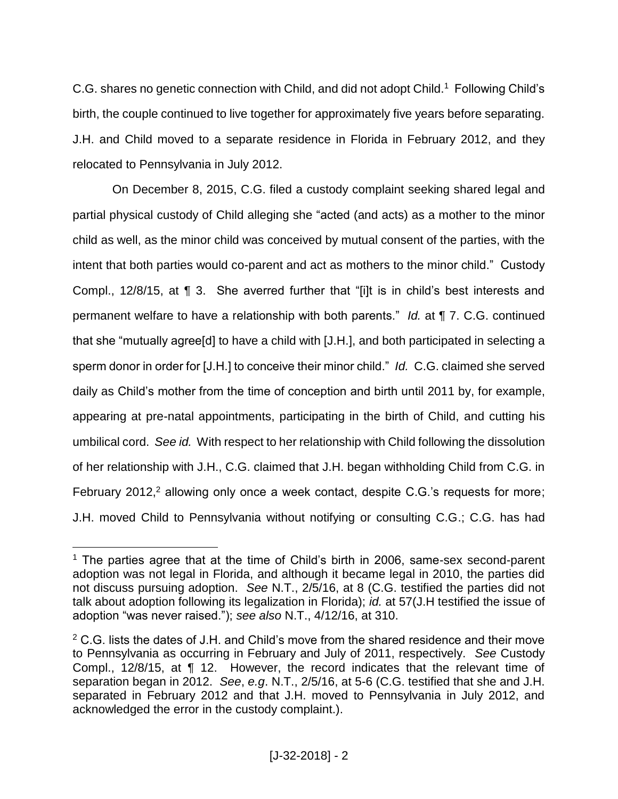C.G. shares no genetic connection with Child, and did not adopt Child.<sup>1</sup> Following Child's birth, the couple continued to live together for approximately five years before separating. J.H. and Child moved to a separate residence in Florida in February 2012, and they relocated to Pennsylvania in July 2012.

On December 8, 2015, C.G. filed a custody complaint seeking shared legal and partial physical custody of Child alleging she "acted (and acts) as a mother to the minor child as well, as the minor child was conceived by mutual consent of the parties, with the intent that both parties would co-parent and act as mothers to the minor child." Custody Compl., 12/8/15, at ¶ 3. She averred further that "[i]t is in child's best interests and permanent welfare to have a relationship with both parents." *Id.* at ¶ 7. C.G. continued that she "mutually agree[d] to have a child with [J.H.], and both participated in selecting a sperm donor in order for [J.H.] to conceive their minor child." *Id.* C.G. claimed she served daily as Child's mother from the time of conception and birth until 2011 by, for example, appearing at pre-natal appointments, participating in the birth of Child, and cutting his umbilical cord. *See id.* With respect to her relationship with Child following the dissolution of her relationship with J.H., C.G. claimed that J.H. began withholding Child from C.G. in February 2012,<sup>2</sup> allowing only once a week contact, despite C.G.'s requests for more; J.H. moved Child to Pennsylvania without notifying or consulting C.G.; C.G. has had

<sup>&</sup>lt;sup>1</sup> The parties agree that at the time of Child's birth in 2006, same-sex second-parent adoption was not legal in Florida, and although it became legal in 2010, the parties did not discuss pursuing adoption. *See* N.T., 2/5/16, at 8 (C.G. testified the parties did not talk about adoption following its legalization in Florida); *id.* at 57(J.H testified the issue of adoption "was never raised."); *see also* N.T., 4/12/16, at 310.

<sup>&</sup>lt;sup>2</sup> C.G. lists the dates of J.H. and Child's move from the shared residence and their move to Pennsylvania as occurring in February and July of 2011, respectively. *See* Custody Compl., 12/8/15, at ¶ 12. However, the record indicates that the relevant time of separation began in 2012. *See*, *e.g*. N.T., 2/5/16, at 5-6 (C.G. testified that she and J.H. separated in February 2012 and that J.H. moved to Pennsylvania in July 2012, and acknowledged the error in the custody complaint.).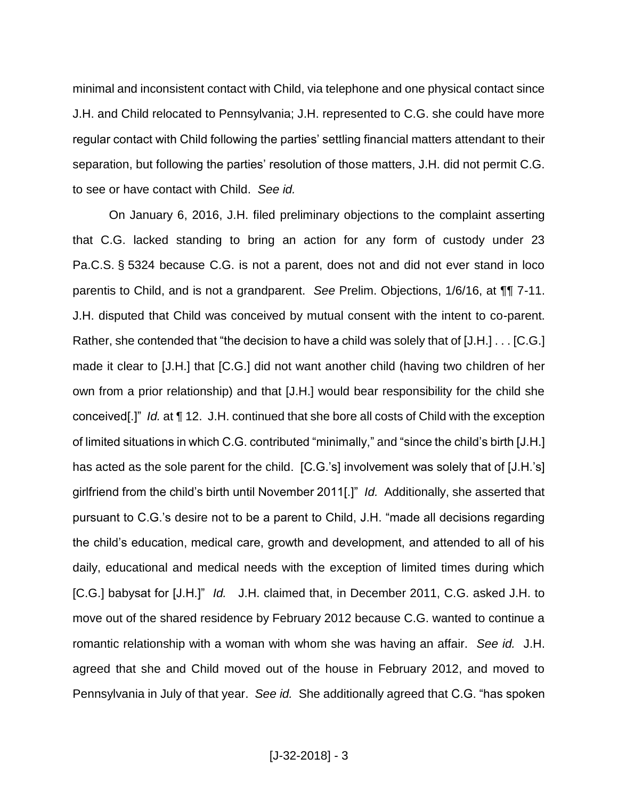minimal and inconsistent contact with Child, via telephone and one physical contact since J.H. and Child relocated to Pennsylvania; J.H. represented to C.G. she could have more regular contact with Child following the parties' settling financial matters attendant to their separation, but following the parties' resolution of those matters, J.H. did not permit C.G. to see or have contact with Child. *See id.*

On January 6, 2016, J.H. filed preliminary objections to the complaint asserting that C.G. lacked standing to bring an action for any form of custody under 23 Pa.C.S. § 5324 because C.G. is not a parent, does not and did not ever stand in loco parentis to Child, and is not a grandparent. *See* Prelim. Objections, 1/6/16, at ¶¶ 7-11. J.H. disputed that Child was conceived by mutual consent with the intent to co-parent. Rather, she contended that "the decision to have a child was solely that of [J.H.] . . . [C.G.] made it clear to [J.H.] that [C.G.] did not want another child (having two children of her own from a prior relationship) and that [J.H.] would bear responsibility for the child she conceived[.]" *Id.* at ¶ 12. J.H. continued that she bore all costs of Child with the exception of limited situations in which C.G. contributed "minimally," and "since the child's birth [J.H.] has acted as the sole parent for the child. [C.G.'s] involvement was solely that of [J.H.'s] girlfriend from the child's birth until November 2011[.]" *Id.* Additionally, she asserted that pursuant to C.G.'s desire not to be a parent to Child, J.H. "made all decisions regarding the child's education, medical care, growth and development, and attended to all of his daily, educational and medical needs with the exception of limited times during which [C.G.] babysat for [J.H.]" *Id.* J.H. claimed that, in December 2011, C.G. asked J.H. to move out of the shared residence by February 2012 because C.G. wanted to continue a romantic relationship with a woman with whom she was having an affair. *See id.* J.H. agreed that she and Child moved out of the house in February 2012, and moved to Pennsylvania in July of that year. *See id.* She additionally agreed that C.G. "has spoken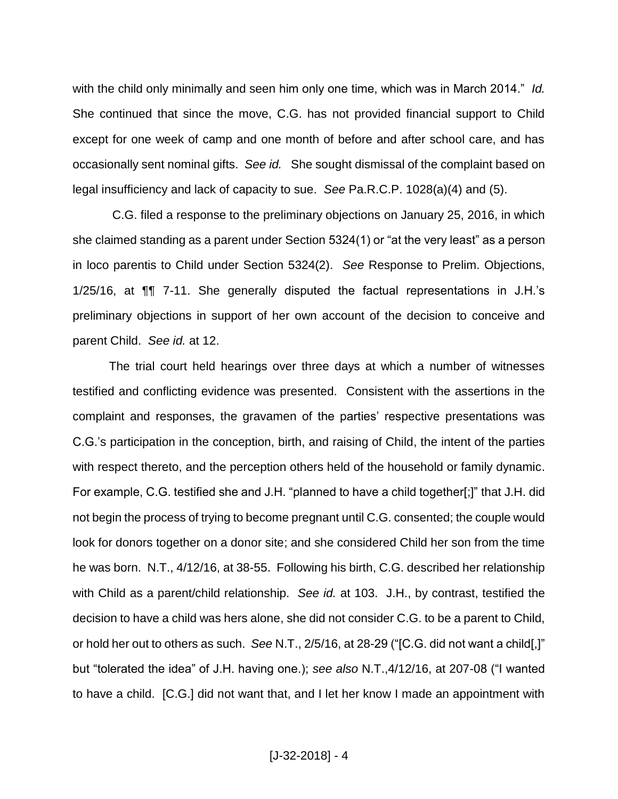with the child only minimally and seen him only one time, which was in March 2014." *Id.* She continued that since the move, C.G. has not provided financial support to Child except for one week of camp and one month of before and after school care, and has occasionally sent nominal gifts. *See id.* She sought dismissal of the complaint based on legal insufficiency and lack of capacity to sue. *See* Pa.R.C.P. 1028(a)(4) and (5).

C.G. filed a response to the preliminary objections on January 25, 2016, in which she claimed standing as a parent under Section 5324(1) or "at the very least" as a person in loco parentis to Child under Section 5324(2). *See* Response to Prelim. Objections, 1/25/16, at ¶¶ 7-11. She generally disputed the factual representations in J.H.'s preliminary objections in support of her own account of the decision to conceive and parent Child. *See id.* at 12.

The trial court held hearings over three days at which a number of witnesses testified and conflicting evidence was presented. Consistent with the assertions in the complaint and responses, the gravamen of the parties' respective presentations was C.G.'s participation in the conception, birth, and raising of Child, the intent of the parties with respect thereto, and the perception others held of the household or family dynamic. For example, C.G. testified she and J.H. "planned to have a child together[;]" that J.H. did not begin the process of trying to become pregnant until C.G. consented; the couple would look for donors together on a donor site; and she considered Child her son from the time he was born. N.T., 4/12/16, at 38-55. Following his birth, C.G. described her relationship with Child as a parent/child relationship. *See id.* at 103. J.H., by contrast, testified the decision to have a child was hers alone, she did not consider C.G. to be a parent to Child, or hold her out to others as such. *See* N.T., 2/5/16, at 28-29 ("[C.G. did not want a child[,]" but "tolerated the idea" of J.H. having one.); *see also* N.T.,4/12/16, at 207-08 ("I wanted to have a child. [C.G.] did not want that, and I let her know I made an appointment with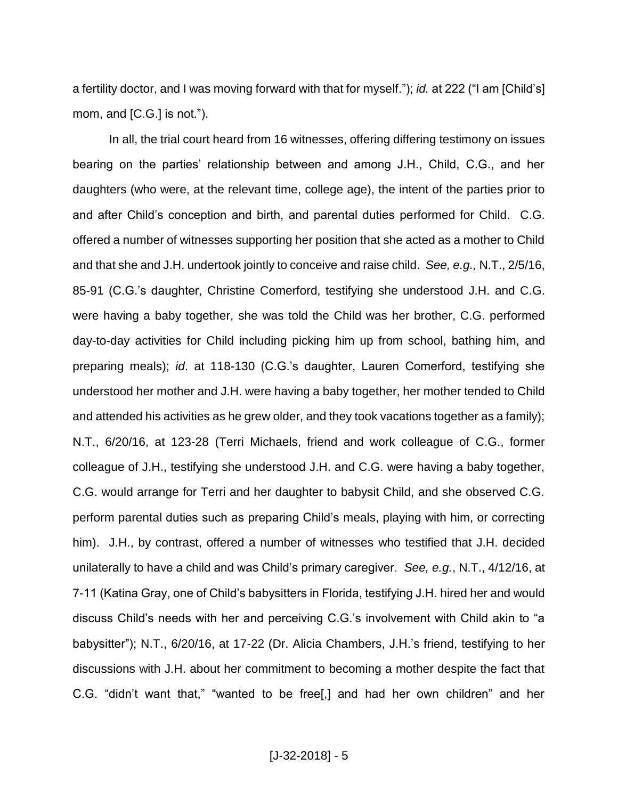a fertility doctor, and I was moving forward with that for myself."); *id.* at 222 ("I am [Child's] mom, and [C.G.] is not.").

In all, the trial court heard from 16 witnesses, offering differing testimony on issues bearing on the parties' relationship between and among J.H., Child, C.G., and her daughters (who were, at the relevant time, college age), the intent of the parties prior to and after Child's conception and birth, and parental duties performed for Child. C.G. offered a number of witnesses supporting her position that she acted as a mother to Child and that she and J.H. undertook jointly to conceive and raise child. *See, e.g.,* N.T., 2/5/16, 85-91 (C.G.'s daughter, Christine Comerford, testifying she understood J.H. and C.G. were having a baby together, she was told the Child was her brother, C.G. performed day-to-day activities for Child including picking him up from school, bathing him, and preparing meals); *id*. at 118-130 (C.G.'s daughter, Lauren Comerford, testifying she understood her mother and J.H. were having a baby together, her mother tended to Child and attended his activities as he grew older, and they took vacations together as a family); N.T., 6/20/16, at 123-28 (Terri Michaels, friend and work colleague of C.G., former colleague of J.H., testifying she understood J.H. and C.G. were having a baby together, C.G. would arrange for Terri and her daughter to babysit Child, and she observed C.G. perform parental duties such as preparing Child's meals, playing with him, or correcting him). J.H., by contrast, offered a number of witnesses who testified that J.H. decided unilaterally to have a child and was Child's primary caregiver. *See, e.g.*, N.T., 4/12/16, at 7-11 (Katina Gray, one of Child's babysitters in Florida, testifying J.H. hired her and would discuss Child's needs with her and perceiving C.G.'s involvement with Child akin to "a babysitter"); N.T., 6/20/16, at 17-22 (Dr. Alicia Chambers, J.H.'s friend, testifying to her discussions with J.H. about her commitment to becoming a mother despite the fact that C.G. "didn't want that," "wanted to be free[,] and had her own children" and her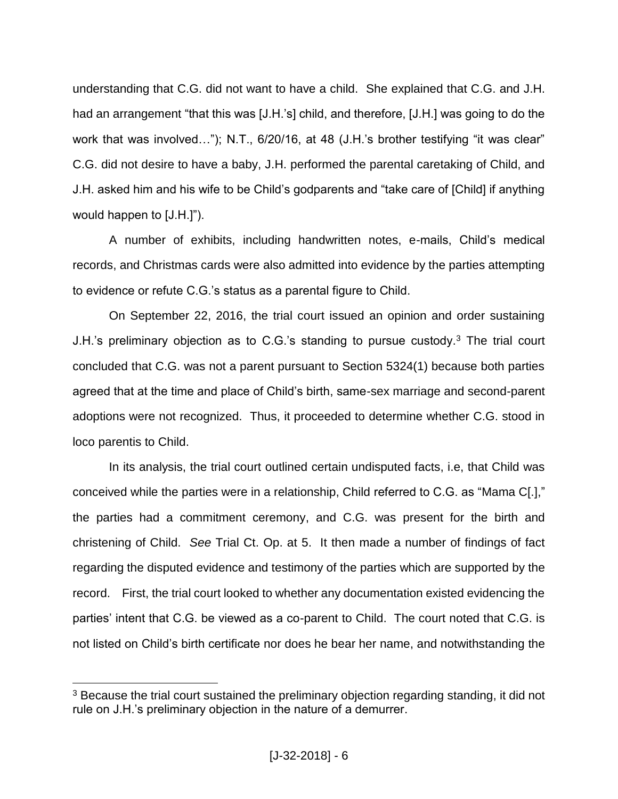understanding that C.G. did not want to have a child. She explained that C.G. and J.H. had an arrangement "that this was [J.H.'s] child, and therefore, [J.H.] was going to do the work that was involved..."); N.T., 6/20/16, at 48 (J.H.'s brother testifying "it was clear" C.G. did not desire to have a baby, J.H. performed the parental caretaking of Child, and J.H. asked him and his wife to be Child's godparents and "take care of [Child] if anything would happen to [J.H.]").

A number of exhibits, including handwritten notes, e-mails, Child's medical records, and Christmas cards were also admitted into evidence by the parties attempting to evidence or refute C.G.'s status as a parental figure to Child.

On September 22, 2016, the trial court issued an opinion and order sustaining J.H.'s preliminary objection as to C.G.'s standing to pursue custody.<sup>3</sup> The trial court concluded that C.G. was not a parent pursuant to Section 5324(1) because both parties agreed that at the time and place of Child's birth, same-sex marriage and second-parent adoptions were not recognized. Thus, it proceeded to determine whether C.G. stood in loco parentis to Child.

In its analysis, the trial court outlined certain undisputed facts, i.e, that Child was conceived while the parties were in a relationship, Child referred to C.G. as "Mama C[.]," the parties had a commitment ceremony, and C.G. was present for the birth and christening of Child. *See* Trial Ct. Op. at 5. It then made a number of findings of fact regarding the disputed evidence and testimony of the parties which are supported by the record. First, the trial court looked to whether any documentation existed evidencing the parties' intent that C.G. be viewed as a co-parent to Child. The court noted that C.G. is not listed on Child's birth certificate nor does he bear her name, and notwithstanding the

 $3$  Because the trial court sustained the preliminary objection regarding standing, it did not rule on J.H.'s preliminary objection in the nature of a demurrer.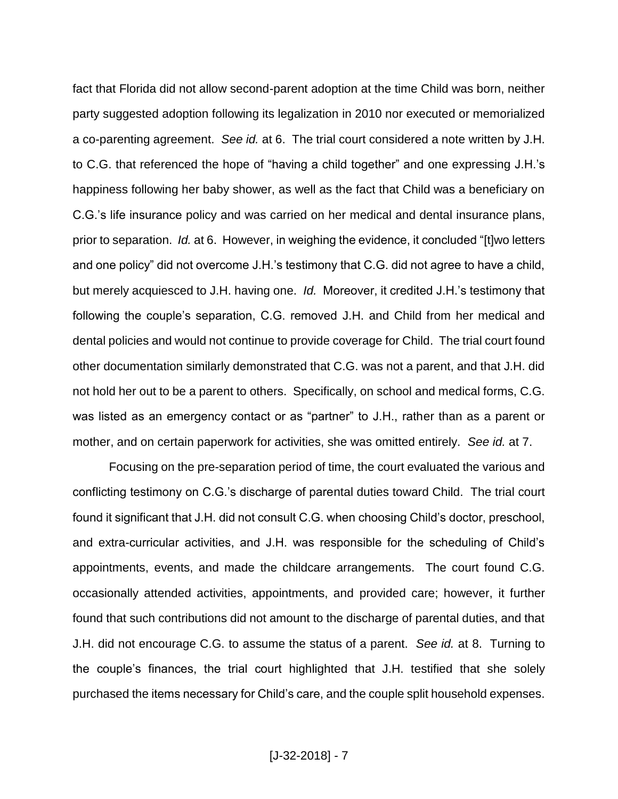fact that Florida did not allow second-parent adoption at the time Child was born, neither party suggested adoption following its legalization in 2010 nor executed or memorialized a co-parenting agreement. *See id.* at 6. The trial court considered a note written by J.H. to C.G. that referenced the hope of "having a child together" and one expressing J.H.'s happiness following her baby shower, as well as the fact that Child was a beneficiary on C.G.'s life insurance policy and was carried on her medical and dental insurance plans, prior to separation. *Id.* at 6. However, in weighing the evidence, it concluded "[t]wo letters and one policy" did not overcome J.H.'s testimony that C.G. did not agree to have a child, but merely acquiesced to J.H. having one. *Id.* Moreover, it credited J.H.'s testimony that following the couple's separation, C.G. removed J.H. and Child from her medical and dental policies and would not continue to provide coverage for Child. The trial court found other documentation similarly demonstrated that C.G. was not a parent, and that J.H. did not hold her out to be a parent to others. Specifically, on school and medical forms, C.G. was listed as an emergency contact or as "partner" to J.H., rather than as a parent or mother, and on certain paperwork for activities, she was omitted entirely. *See id.* at 7.

Focusing on the pre-separation period of time, the court evaluated the various and conflicting testimony on C.G.'s discharge of parental duties toward Child. The trial court found it significant that J.H. did not consult C.G. when choosing Child's doctor, preschool, and extra-curricular activities, and J.H. was responsible for the scheduling of Child's appointments, events, and made the childcare arrangements. The court found C.G. occasionally attended activities, appointments, and provided care; however, it further found that such contributions did not amount to the discharge of parental duties, and that J.H. did not encourage C.G. to assume the status of a parent. *See id.* at 8. Turning to the couple's finances, the trial court highlighted that J.H. testified that she solely purchased the items necessary for Child's care, and the couple split household expenses.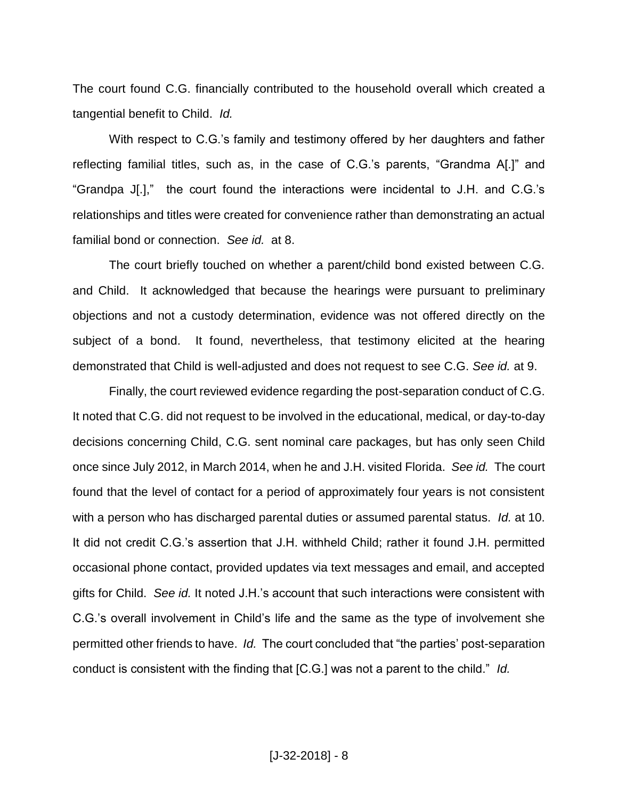The court found C.G. financially contributed to the household overall which created a tangential benefit to Child. *Id.* 

With respect to C.G.'s family and testimony offered by her daughters and father reflecting familial titles, such as, in the case of C.G.'s parents, "Grandma A[.]" and "Grandpa J[.]," the court found the interactions were incidental to J.H. and C.G.'s relationships and titles were created for convenience rather than demonstrating an actual familial bond or connection. *See id.* at 8.

The court briefly touched on whether a parent/child bond existed between C.G. and Child. It acknowledged that because the hearings were pursuant to preliminary objections and not a custody determination, evidence was not offered directly on the subject of a bond. It found, nevertheless, that testimony elicited at the hearing demonstrated that Child is well-adjusted and does not request to see C.G. *See id.* at 9.

Finally, the court reviewed evidence regarding the post-separation conduct of C.G. It noted that C.G. did not request to be involved in the educational, medical, or day-to-day decisions concerning Child, C.G. sent nominal care packages, but has only seen Child once since July 2012, in March 2014, when he and J.H. visited Florida. *See id.* The court found that the level of contact for a period of approximately four years is not consistent with a person who has discharged parental duties or assumed parental status. *Id.* at 10. It did not credit C.G.'s assertion that J.H. withheld Child; rather it found J.H. permitted occasional phone contact, provided updates via text messages and email, and accepted gifts for Child. *See id.* It noted J.H.'s account that such interactions were consistent with C.G.'s overall involvement in Child's life and the same as the type of involvement she permitted other friends to have. *Id.* The court concluded that "the parties' post-separation conduct is consistent with the finding that [C.G.] was not a parent to the child." *Id.*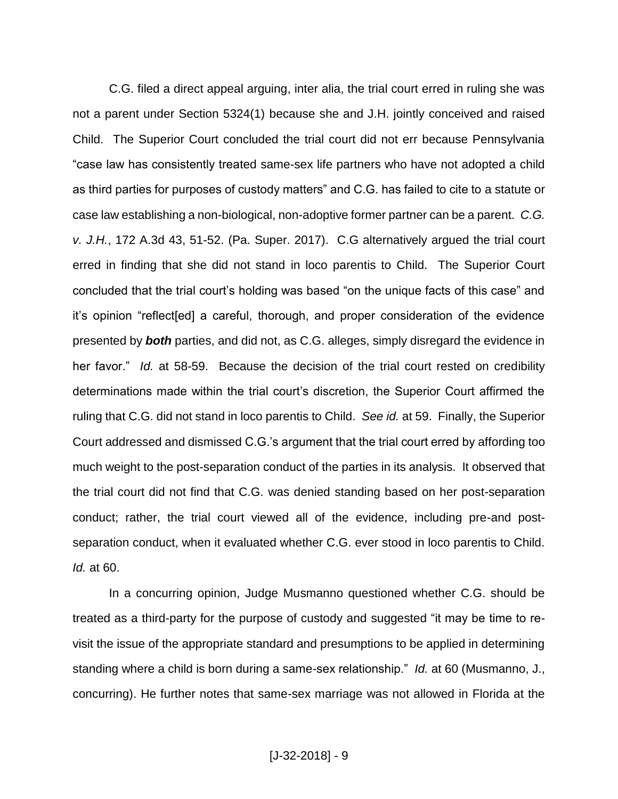C.G. filed a direct appeal arguing, inter alia, the trial court erred in ruling she was not a parent under Section 5324(1) because she and J.H. jointly conceived and raised Child. The Superior Court concluded the trial court did not err because Pennsylvania "case law has consistently treated same-sex life partners who have not adopted a child as third parties for purposes of custody matters" and C.G. has failed to cite to a statute or case law establishing a non-biological, non-adoptive former partner can be a parent. *C.G. v. J.H.*, 172 A.3d 43, 51-52. (Pa. Super. 2017). C.G alternatively argued the trial court erred in finding that she did not stand in loco parentis to Child. The Superior Court concluded that the trial court's holding was based "on the unique facts of this case" and it's opinion "reflect[ed] a careful, thorough, and proper consideration of the evidence presented by *both* parties, and did not, as C.G. alleges, simply disregard the evidence in her favor." *Id.* at 58-59. Because the decision of the trial court rested on credibility determinations made within the trial court's discretion, the Superior Court affirmed the ruling that C.G. did not stand in loco parentis to Child. *See id.* at 59. Finally, the Superior Court addressed and dismissed C.G.'s argument that the trial court erred by affording too much weight to the post-separation conduct of the parties in its analysis. It observed that the trial court did not find that C.G. was denied standing based on her post-separation conduct; rather, the trial court viewed all of the evidence, including pre-and postseparation conduct, when it evaluated whether C.G. ever stood in loco parentis to Child. *Id.* at 60.

In a concurring opinion, Judge Musmanno questioned whether C.G. should be treated as a third-party for the purpose of custody and suggested "it may be time to revisit the issue of the appropriate standard and presumptions to be applied in determining standing where a child is born during a same-sex relationship." *Id.* at 60 (Musmanno, J., concurring). He further notes that same-sex marriage was not allowed in Florida at the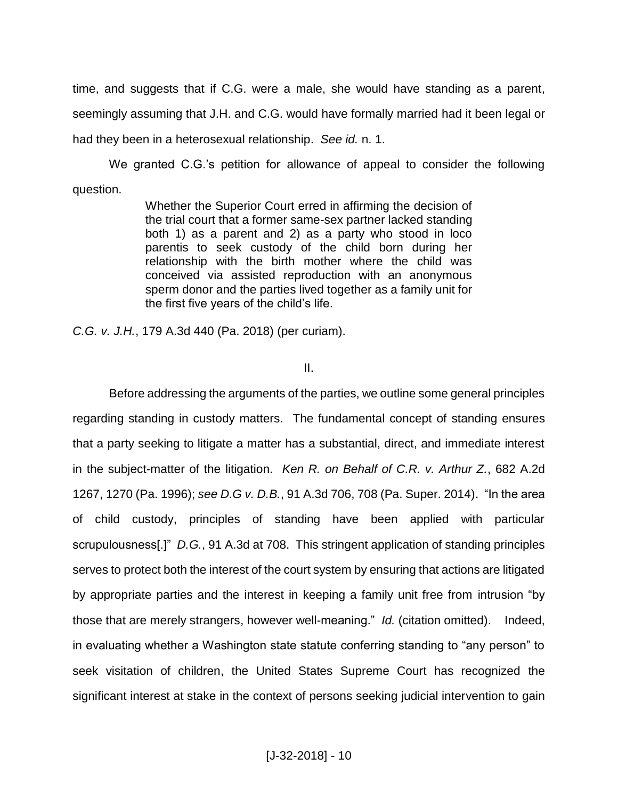time, and suggests that if C.G. were a male, she would have standing as a parent, seemingly assuming that J.H. and C.G. would have formally married had it been legal or had they been in a heterosexual relationship. *See id.* n. 1.

We granted C.G.'s petition for allowance of appeal to consider the following question.

> Whether the Superior Court erred in affirming the decision of the trial court that a former same-sex partner lacked standing both 1) as a parent and 2) as a party who stood in loco parentis to seek custody of the child born during her relationship with the birth mother where the child was conceived via assisted reproduction with an anonymous sperm donor and the parties lived together as a family unit for the first five years of the child's life.

*C.G. v. J.H.*, 179 A.3d 440 (Pa. 2018) (per curiam).

II.

Before addressing the arguments of the parties, we outline some general principles regarding standing in custody matters. The fundamental concept of standing ensures that a party seeking to litigate a matter has a substantial, direct, and immediate interest in the subject-matter of the litigation. *Ken R. on Behalf of C.R. v. Arthur Z.*, 682 A.2d 1267, 1270 (Pa. 1996); *see D.G v. D.B.*, 91 A.3d 706, 708 (Pa. Super. 2014). "In the area of child custody, principles of standing have been applied with particular scrupulousness[.]" *D.G.*, 91 A.3d at 708. This stringent application of standing principles serves to protect both the interest of the court system by ensuring that actions are litigated by appropriate parties and the interest in keeping a family unit free from intrusion "by those that are merely strangers, however well-meaning." *Id.* (citation omitted). Indeed, in evaluating whether a Washington state statute conferring standing to "any person" to seek visitation of children, the United States Supreme Court has recognized the significant interest at stake in the context of persons seeking judicial intervention to gain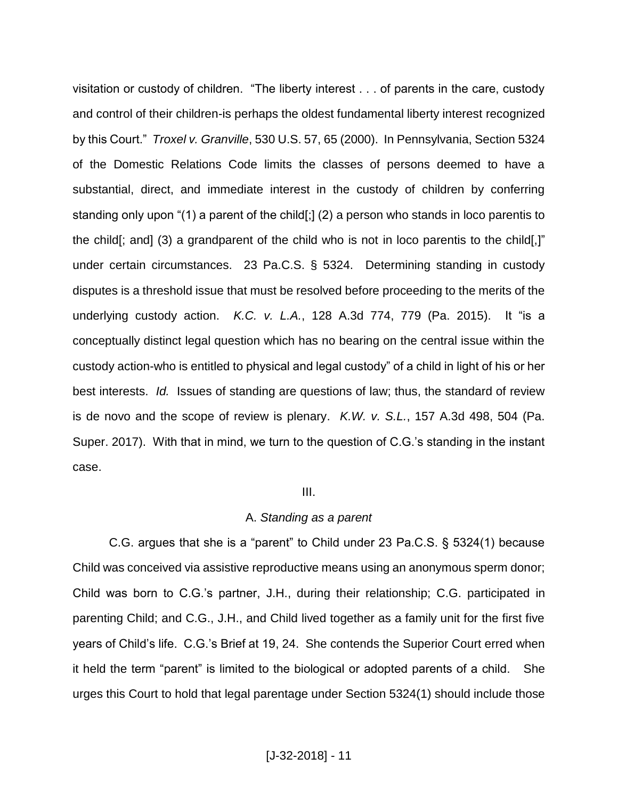visitation or custody of children. "The liberty interest . . . of parents in the care, custody and control of their children-is perhaps the oldest fundamental liberty interest recognized by this Court." *Troxel v. Granville*, 530 U.S. 57, 65 (2000). In Pennsylvania, Section 5324 of the Domestic Relations Code limits the classes of persons deemed to have a substantial, direct, and immediate interest in the custody of children by conferring standing only upon "(1) a parent of the child[;] (2) a person who stands in loco parentis to the child[; and] (3) a grandparent of the child who is not in loco parentis to the child[,]" under certain circumstances. 23 Pa.C.S. § 5324. Determining standing in custody disputes is a threshold issue that must be resolved before proceeding to the merits of the underlying custody action. *K.C. v. L.A.*, 128 A.3d 774, 779 (Pa. 2015). It "is a conceptually distinct legal question which has no bearing on the central issue within the custody action-who is entitled to physical and legal custody" of a child in light of his or her best interests. *Id.* Issues of standing are questions of law; thus, the standard of review is de novo and the scope of review is plenary. *K.W. v. S.L.*, 157 A.3d 498, 504 (Pa. Super. 2017). With that in mind, we turn to the question of C.G.'s standing in the instant case.

#### III.

#### A. *Standing as a parent*

C.G. argues that she is a "parent" to Child under 23 Pa.C.S. § 5324(1) because Child was conceived via assistive reproductive means using an anonymous sperm donor; Child was born to C.G.'s partner, J.H., during their relationship; C.G. participated in parenting Child; and C.G., J.H., and Child lived together as a family unit for the first five years of Child's life. C.G.'s Brief at 19, 24. She contends the Superior Court erred when it held the term "parent" is limited to the biological or adopted parents of a child. She urges this Court to hold that legal parentage under Section 5324(1) should include those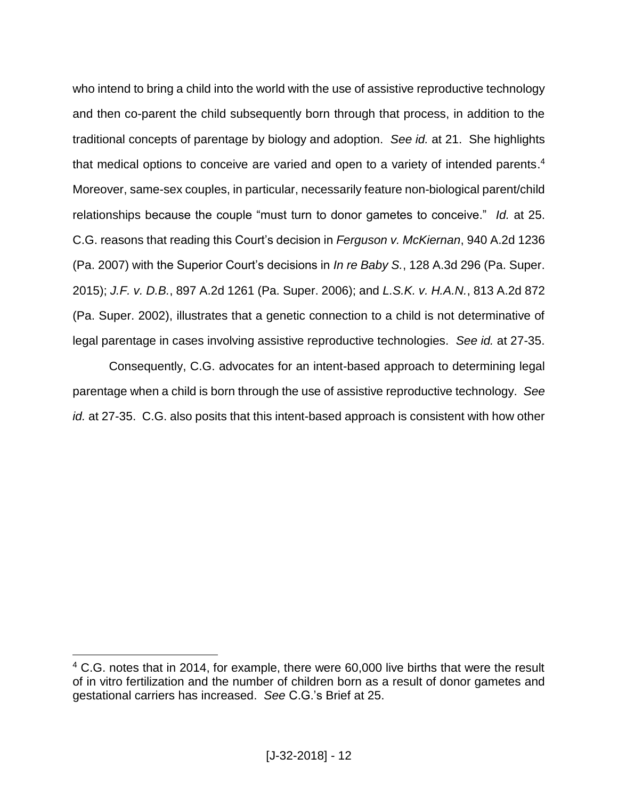who intend to bring a child into the world with the use of assistive reproductive technology and then co-parent the child subsequently born through that process, in addition to the traditional concepts of parentage by biology and adoption. *See id.* at 21. She highlights that medical options to conceive are varied and open to a variety of intended parents.<sup>4</sup> Moreover, same-sex couples, in particular, necessarily feature non-biological parent/child relationships because the couple "must turn to donor gametes to conceive." *Id.* at 25. C.G. reasons that reading this Court's decision in *Ferguson v. McKiernan*, 940 A.2d 1236 (Pa. 2007) with the Superior Court's decisions in *In re Baby S.*, 128 A.3d 296 (Pa. Super. 2015); *J.F. v. D.B.*, 897 A.2d 1261 (Pa. Super. 2006); and *L.S.K. v. H.A.N.*, 813 A.2d 872 (Pa. Super. 2002), illustrates that a genetic connection to a child is not determinative of legal parentage in cases involving assistive reproductive technologies. *See id.* at 27-35.

Consequently, C.G. advocates for an intent-based approach to determining legal parentage when a child is born through the use of assistive reproductive technology. *See id.* at 27-35. C.G. also posits that this intent-based approach is consistent with how other

<sup>&</sup>lt;sup>4</sup> C.G. notes that in 2014, for example, there were 60,000 live births that were the result of in vitro fertilization and the number of children born as a result of donor gametes and gestational carriers has increased. *See* C.G.'s Brief at 25.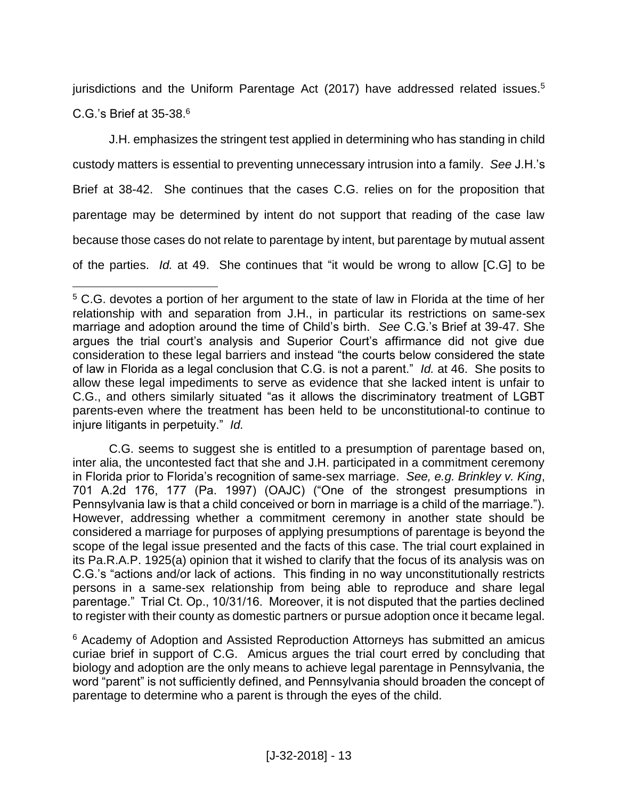jurisdictions and the Uniform Parentage Act (2017) have addressed related issues.<sup>5</sup> C.G.'s Brief at 35-38.<sup>6</sup>

J.H. emphasizes the stringent test applied in determining who has standing in child custody matters is essential to preventing unnecessary intrusion into a family. *See* J.H.'s Brief at 38-42. She continues that the cases C.G. relies on for the proposition that parentage may be determined by intent do not support that reading of the case law because those cases do not relate to parentage by intent, but parentage by mutual assent of the parties. *Id.* at 49. She continues that "it would be wrong to allow [C.G] to be

 $\overline{a}$ 

C.G. seems to suggest she is entitled to a presumption of parentage based on, inter alia, the uncontested fact that she and J.H. participated in a commitment ceremony in Florida prior to Florida's recognition of same-sex marriage. *See, e.g. Brinkley v. King*, 701 A.2d 176, 177 (Pa. 1997) (OAJC) ("One of the strongest presumptions in Pennsylvania law is that a child conceived or born in marriage is a child of the marriage."). However, addressing whether a commitment ceremony in another state should be considered a marriage for purposes of applying presumptions of parentage is beyond the scope of the legal issue presented and the facts of this case. The trial court explained in its Pa.R.A.P. 1925(a) opinion that it wished to clarify that the focus of its analysis was on C.G.'s "actions and/or lack of actions. This finding in no way unconstitutionally restricts persons in a same-sex relationship from being able to reproduce and share legal parentage." Trial Ct. Op., 10/31/16. Moreover, it is not disputed that the parties declined to register with their county as domestic partners or pursue adoption once it became legal.

<sup>6</sup> Academy of Adoption and Assisted Reproduction Attorneys has submitted an amicus curiae brief in support of C.G. Amicus argues the trial court erred by concluding that biology and adoption are the only means to achieve legal parentage in Pennsylvania, the word "parent" is not sufficiently defined, and Pennsylvania should broaden the concept of parentage to determine who a parent is through the eyes of the child.

<sup>&</sup>lt;sup>5</sup> C.G. devotes a portion of her argument to the state of law in Florida at the time of her relationship with and separation from J.H., in particular its restrictions on same-sex marriage and adoption around the time of Child's birth. *See* C.G.'s Brief at 39-47. She argues the trial court's analysis and Superior Court's affirmance did not give due consideration to these legal barriers and instead "the courts below considered the state of law in Florida as a legal conclusion that C.G. is not a parent." *Id.* at 46. She posits to allow these legal impediments to serve as evidence that she lacked intent is unfair to C.G., and others similarly situated "as it allows the discriminatory treatment of LGBT parents-even where the treatment has been held to be unconstitutional-to continue to injure litigants in perpetuity." *Id.*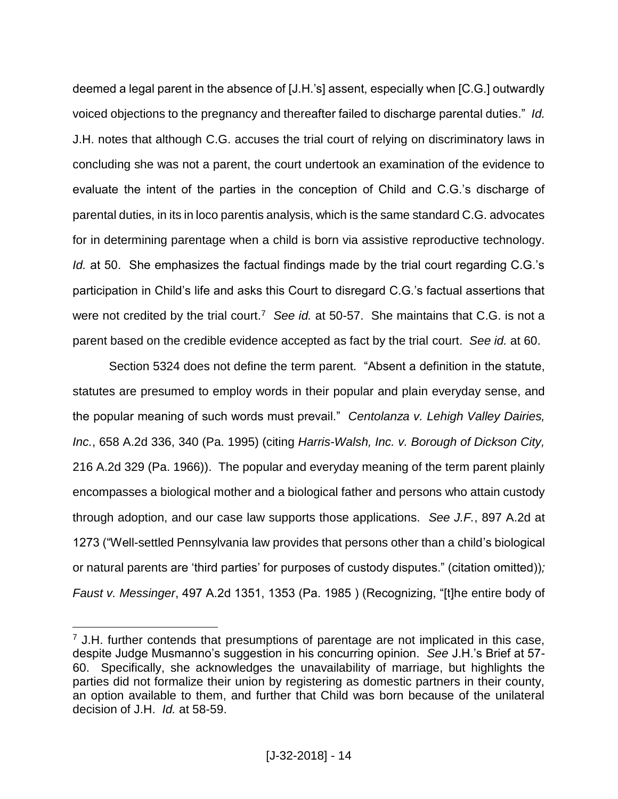deemed a legal parent in the absence of [J.H.'s] assent, especially when [C.G.] outwardly voiced objections to the pregnancy and thereafter failed to discharge parental duties." *Id.*  J.H. notes that although C.G. accuses the trial court of relying on discriminatory laws in concluding she was not a parent, the court undertook an examination of the evidence to evaluate the intent of the parties in the conception of Child and C.G.'s discharge of parental duties, in its in loco parentis analysis, which is the same standard C.G. advocates for in determining parentage when a child is born via assistive reproductive technology. *Id.* at 50. She emphasizes the factual findings made by the trial court regarding C.G.'s participation in Child's life and asks this Court to disregard C.G.'s factual assertions that were not credited by the trial court.<sup>7</sup> See id. at 50-57. She maintains that C.G. is not a parent based on the credible evidence accepted as fact by the trial court. *See id.* at 60.

Section 5324 does not define the term parent. "Absent a definition in the statute, statutes are presumed to employ words in their popular and plain everyday sense, and the popular meaning of such words must prevail." *Centolanza v. Lehigh Valley Dairies, Inc.*, 658 A.2d 336, 340 (Pa. 1995) (citing *Harris-Walsh, Inc. v. Borough of Dickson City,* 216 A.2d 329 (Pa. 1966)). The popular and everyday meaning of the term parent plainly encompasses a biological mother and a biological father and persons who attain custody through adoption, and our case law supports those applications. *See J.F.*, 897 A.2d at 1273 ("Well-settled Pennsylvania law provides that persons other than a child's biological or natural parents are 'third parties' for purposes of custody disputes." (citation omitted))*; Faust v. Messinger*, 497 A.2d 1351, 1353 (Pa. 1985 ) (Recognizing, "[t]he entire body of

 $<sup>7</sup>$  J.H. further contends that presumptions of parentage are not implicated in this case,</sup> despite Judge Musmanno's suggestion in his concurring opinion. *See* J.H.'s Brief at 57- 60. Specifically, she acknowledges the unavailability of marriage, but highlights the parties did not formalize their union by registering as domestic partners in their county, an option available to them, and further that Child was born because of the unilateral decision of J.H. *Id.* at 58-59.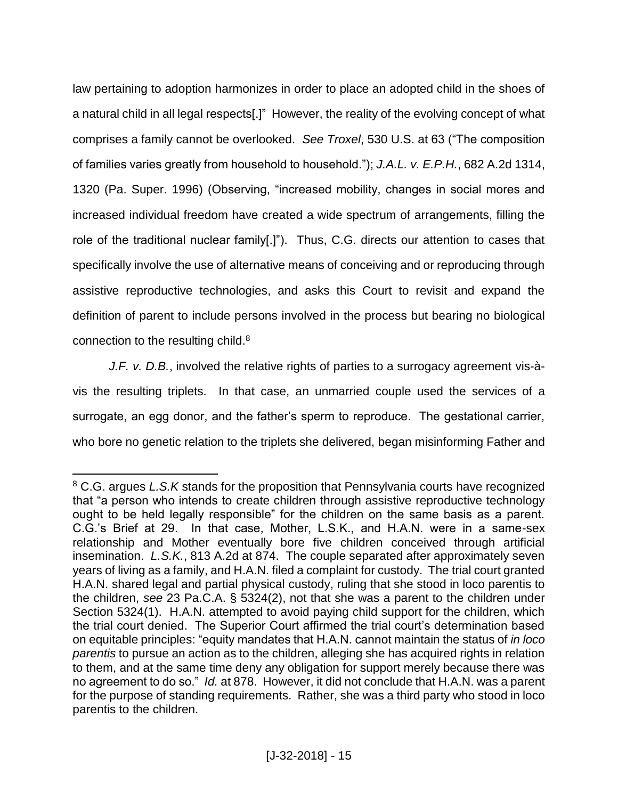law pertaining to adoption harmonizes in order to place an adopted child in the shoes of a natural child in all legal respects[.]" However, the reality of the evolving concept of what comprises a family cannot be overlooked. *See Troxel*, 530 U.S. at 63 ("The composition of families varies greatly from household to household."); *J.A.L. v. E.P.H.*, 682 A.2d 1314, 1320 (Pa. Super. 1996) (Observing, "increased mobility, changes in social mores and increased individual freedom have created a wide spectrum of arrangements, filling the role of the traditional nuclear family[.]"). Thus, C.G. directs our attention to cases that specifically involve the use of alternative means of conceiving and or reproducing through assistive reproductive technologies, and asks this Court to revisit and expand the definition of parent to include persons involved in the process but bearing no biological connection to the resulting child.<sup>8</sup>

*J.F. v. D.B.*, involved the relative rights of parties to a surrogacy agreement vis-àvis the resulting triplets. In that case, an unmarried couple used the services of a surrogate, an egg donor, and the father's sperm to reproduce. The gestational carrier, who bore no genetic relation to the triplets she delivered, began misinforming Father and

 $\overline{a}$ <sup>8</sup> C.G. argues *L.S.K* stands for the proposition that Pennsylvania courts have recognized that "a person who intends to create children through assistive reproductive technology ought to be held legally responsible" for the children on the same basis as a parent. C.G.'s Brief at 29. In that case, Mother, L.S.K., and H.A.N. were in a same-sex relationship and Mother eventually bore five children conceived through artificial insemination. *L.S.K.*, 813 A.2d at 874. The couple separated after approximately seven years of living as a family, and H.A.N. filed a complaint for custody. The trial court granted H.A.N. shared legal and partial physical custody, ruling that she stood in loco parentis to the children, *see* 23 Pa.C.A. § 5324(2), not that she was a parent to the children under Section 5324(1). H.A.N. attempted to avoid paying child support for the children, which the trial court denied. The Superior Court affirmed the trial court's determination based on equitable principles: "equity mandates that H.A.N. cannot maintain the status of *in loco parentis* to pursue an action as to the children, alleging she has acquired rights in relation to them, and at the same time deny any obligation for support merely because there was no agreement to do so." *Id.* at 878. However, it did not conclude that H.A.N. was a parent for the purpose of standing requirements. Rather, she was a third party who stood in loco parentis to the children.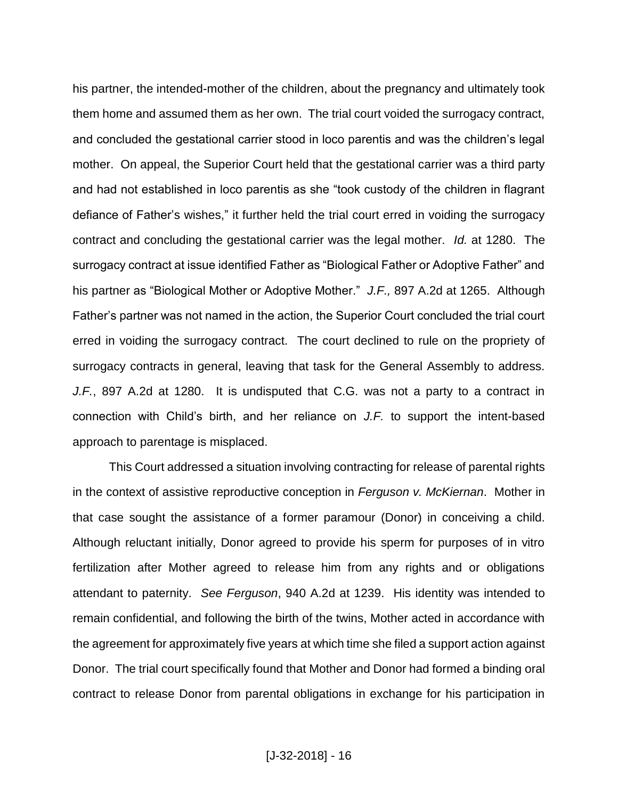his partner, the intended-mother of the children, about the pregnancy and ultimately took them home and assumed them as her own. The trial court voided the surrogacy contract, and concluded the gestational carrier stood in loco parentis and was the children's legal mother. On appeal, the Superior Court held that the gestational carrier was a third party and had not established in loco parentis as she "took custody of the children in flagrant defiance of Father's wishes," it further held the trial court erred in voiding the surrogacy contract and concluding the gestational carrier was the legal mother. *Id.* at 1280. The surrogacy contract at issue identified Father as "Biological Father or Adoptive Father" and his partner as "Biological Mother or Adoptive Mother." *J.F.,* 897 A.2d at 1265. Although Father's partner was not named in the action, the Superior Court concluded the trial court erred in voiding the surrogacy contract. The court declined to rule on the propriety of surrogacy contracts in general, leaving that task for the General Assembly to address. *J.F.*, 897 A.2d at 1280. It is undisputed that C.G. was not a party to a contract in connection with Child's birth, and her reliance on *J.F.* to support the intent-based approach to parentage is misplaced.

This Court addressed a situation involving contracting for release of parental rights in the context of assistive reproductive conception in *Ferguson v. McKiernan*. Mother in that case sought the assistance of a former paramour (Donor) in conceiving a child. Although reluctant initially, Donor agreed to provide his sperm for purposes of in vitro fertilization after Mother agreed to release him from any rights and or obligations attendant to paternity. *See Ferguson*, 940 A.2d at 1239. His identity was intended to remain confidential, and following the birth of the twins, Mother acted in accordance with the agreement for approximately five years at which time she filed a support action against Donor. The trial court specifically found that Mother and Donor had formed a binding oral contract to release Donor from parental obligations in exchange for his participation in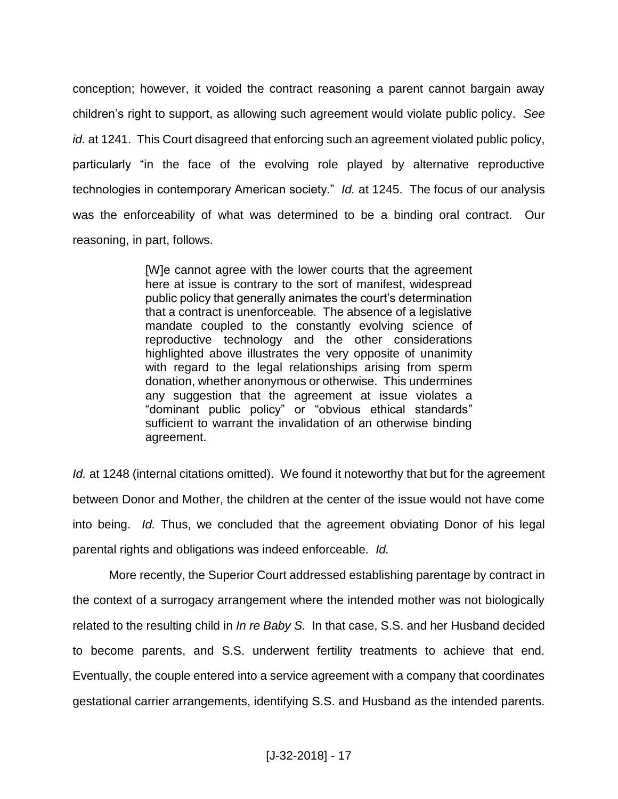conception; however, it voided the contract reasoning a parent cannot bargain away children's right to support, as allowing such agreement would violate public policy. *See id.* at 1241. This Court disagreed that enforcing such an agreement violated public policy, particularly "in the face of the evolving role played by alternative reproductive technologies in contemporary American society." *Id.* at 1245. The focus of our analysis was the enforceability of what was determined to be a binding oral contract. Our reasoning, in part, follows.

> [W]e cannot agree with the lower courts that the agreement here at issue is contrary to the sort of manifest, widespread public policy that generally animates the court's determination that a contract is unenforceable. The absence of a legislative mandate coupled to the constantly evolving science of reproductive technology and the other considerations highlighted above illustrates the very opposite of unanimity with regard to the legal relationships arising from sperm donation, whether anonymous or otherwise. This undermines any suggestion that the agreement at issue violates a "dominant public policy" or "obvious ethical standards" sufficient to warrant the invalidation of an otherwise binding agreement.

*Id.* at 1248 (internal citations omitted). We found it noteworthy that but for the agreement between Donor and Mother, the children at the center of the issue would not have come into being. *Id.* Thus, we concluded that the agreement obviating Donor of his legal parental rights and obligations was indeed enforceable. *Id.* 

More recently, the Superior Court addressed establishing parentage by contract in the context of a surrogacy arrangement where the intended mother was not biologically related to the resulting child in *In re Baby S.* In that case, S.S. and her Husband decided to become parents, and S.S. underwent fertility treatments to achieve that end. Eventually, the couple entered into a service agreement with a company that coordinates gestational carrier arrangements, identifying S.S. and Husband as the intended parents.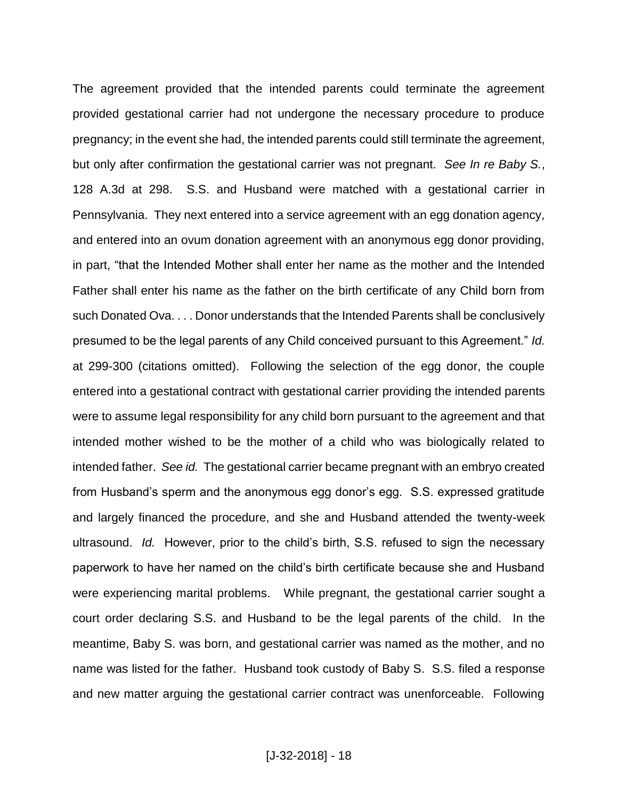The agreement provided that the intended parents could terminate the agreement provided gestational carrier had not undergone the necessary procedure to produce pregnancy; in the event she had, the intended parents could still terminate the agreement, but only after confirmation the gestational carrier was not pregnant. *See In re Baby S.*, 128 A.3d at 298. S.S. and Husband were matched with a gestational carrier in Pennsylvania. They next entered into a service agreement with an egg donation agency, and entered into an ovum donation agreement with an anonymous egg donor providing, in part, "that the Intended Mother shall enter her name as the mother and the Intended Father shall enter his name as the father on the birth certificate of any Child born from such Donated Ova. . . . Donor understands that the Intended Parents shall be conclusively presumed to be the legal parents of any Child conceived pursuant to this Agreement." *Id.* at 299-300 (citations omitted). Following the selection of the egg donor, the couple entered into a gestational contract with gestational carrier providing the intended parents were to assume legal responsibility for any child born pursuant to the agreement and that intended mother wished to be the mother of a child who was biologically related to intended father. *See id.* The gestational carrier became pregnant with an embryo created from Husband's sperm and the anonymous egg donor's egg. S.S. expressed gratitude and largely financed the procedure, and she and Husband attended the twenty-week ultrasound. *Id.* However, prior to the child's birth, S.S. refused to sign the necessary paperwork to have her named on the child's birth certificate because she and Husband were experiencing marital problems. While pregnant, the gestational carrier sought a court order declaring S.S. and Husband to be the legal parents of the child. In the meantime, Baby S. was born, and gestational carrier was named as the mother, and no name was listed for the father. Husband took custody of Baby S. S.S. filed a response and new matter arguing the gestational carrier contract was unenforceable. Following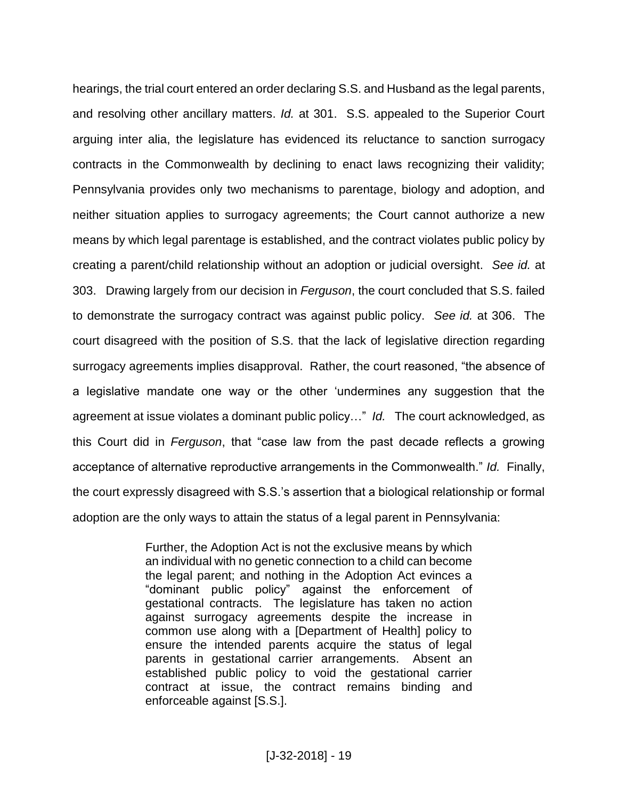hearings, the trial court entered an order declaring S.S. and Husband as the legal parents, and resolving other ancillary matters. *Id.* at 301. S.S. appealed to the Superior Court arguing inter alia, the legislature has evidenced its reluctance to sanction surrogacy contracts in the Commonwealth by declining to enact laws recognizing their validity; Pennsylvania provides only two mechanisms to parentage, biology and adoption, and neither situation applies to surrogacy agreements; the Court cannot authorize a new means by which legal parentage is established, and the contract violates public policy by creating a parent/child relationship without an adoption or judicial oversight. *See id.* at 303. Drawing largely from our decision in *Ferguson*, the court concluded that S.S. failed to demonstrate the surrogacy contract was against public policy. *See id.* at 306. The court disagreed with the position of S.S. that the lack of legislative direction regarding surrogacy agreements implies disapproval. Rather, the court reasoned, "the absence of a legislative mandate one way or the other 'undermines any suggestion that the agreement at issue violates a dominant public policy…" *Id.* The court acknowledged, as this Court did in *Ferguson*, that "case law from the past decade reflects a growing acceptance of alternative reproductive arrangements in the Commonwealth." *Id.* Finally, the court expressly disagreed with S.S.'s assertion that a biological relationship or formal adoption are the only ways to attain the status of a legal parent in Pennsylvania:

> Further, the Adoption Act is not the exclusive means by which an individual with no genetic connection to a child can become the legal parent; and nothing in the Adoption Act evinces a "dominant public policy" against the enforcement of gestational contracts. The legislature has taken no action against surrogacy agreements despite the increase in common use along with a [Department of Health] policy to ensure the intended parents acquire the status of legal parents in gestational carrier arrangements. Absent an established public policy to void the gestational carrier contract at issue, the contract remains binding and enforceable against [S.S.].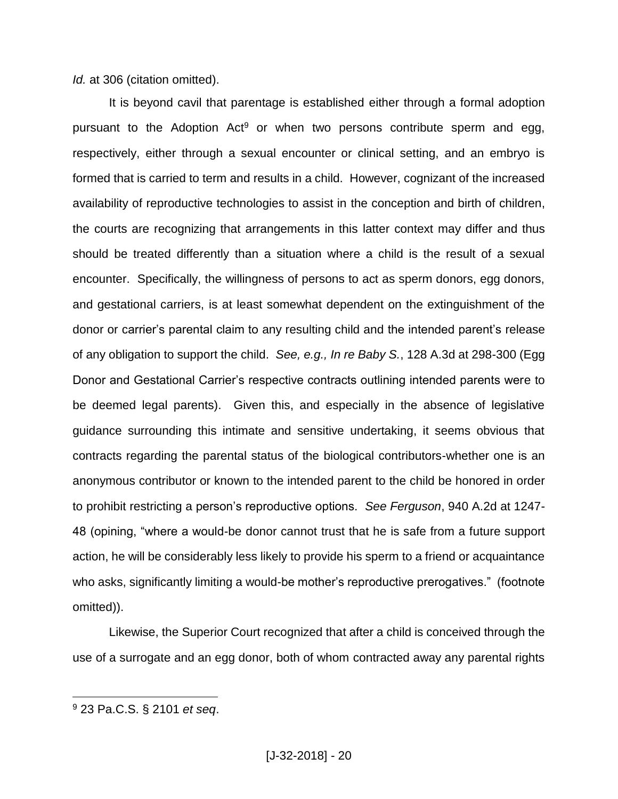*Id.* at 306 (citation omitted).

It is beyond cavil that parentage is established either through a formal adoption pursuant to the Adoption  $Act^9$  or when two persons contribute sperm and egg, respectively, either through a sexual encounter or clinical setting, and an embryo is formed that is carried to term and results in a child. However, cognizant of the increased availability of reproductive technologies to assist in the conception and birth of children, the courts are recognizing that arrangements in this latter context may differ and thus should be treated differently than a situation where a child is the result of a sexual encounter. Specifically, the willingness of persons to act as sperm donors, egg donors, and gestational carriers, is at least somewhat dependent on the extinguishment of the donor or carrier's parental claim to any resulting child and the intended parent's release of any obligation to support the child. *See, e.g., In re Baby S.*, 128 A.3d at 298-300 (Egg Donor and Gestational Carrier's respective contracts outlining intended parents were to be deemed legal parents). Given this, and especially in the absence of legislative guidance surrounding this intimate and sensitive undertaking, it seems obvious that contracts regarding the parental status of the biological contributors-whether one is an anonymous contributor or known to the intended parent to the child be honored in order to prohibit restricting a person's reproductive options. *See Ferguson*, 940 A.2d at 1247- 48 (opining, "where a would-be donor cannot trust that he is safe from a future support action, he will be considerably less likely to provide his sperm to a friend or acquaintance who asks, significantly limiting a would-be mother's reproductive prerogatives." (footnote omitted)).

Likewise, the Superior Court recognized that after a child is conceived through the use of a surrogate and an egg donor, both of whom contracted away any parental rights

<sup>9</sup> 23 Pa.C.S. § 2101 *et seq*.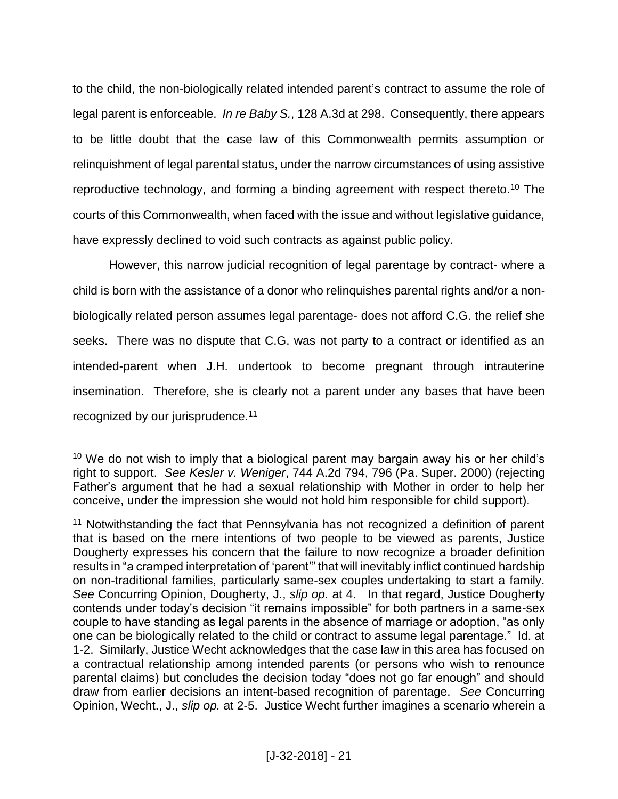to the child, the non-biologically related intended parent's contract to assume the role of legal parent is enforceable. *In re Baby S.*, 128 A.3d at 298. Consequently, there appears to be little doubt that the case law of this Commonwealth permits assumption or relinquishment of legal parental status, under the narrow circumstances of using assistive reproductive technology, and forming a binding agreement with respect thereto.<sup>10</sup> The courts of this Commonwealth, when faced with the issue and without legislative guidance, have expressly declined to void such contracts as against public policy.

However, this narrow judicial recognition of legal parentage by contract- where a child is born with the assistance of a donor who relinquishes parental rights and/or a nonbiologically related person assumes legal parentage- does not afford C.G. the relief she seeks. There was no dispute that C.G. was not party to a contract or identified as an intended-parent when J.H. undertook to become pregnant through intrauterine insemination. Therefore, she is clearly not a parent under any bases that have been recognized by our jurisprudence.<sup>11</sup>

 $10$  We do not wish to imply that a biological parent may bargain away his or her child's right to support. *See Kesler v. Weniger*, 744 A.2d 794, 796 (Pa. Super. 2000) (rejecting Father's argument that he had a sexual relationship with Mother in order to help her conceive, under the impression she would not hold him responsible for child support).

<sup>&</sup>lt;sup>11</sup> Notwithstanding the fact that Pennsylvania has not recognized a definition of parent that is based on the mere intentions of two people to be viewed as parents, Justice Dougherty expresses his concern that the failure to now recognize a broader definition results in "a cramped interpretation of 'parent'" that will inevitably inflict continued hardship on non-traditional families, particularly same-sex couples undertaking to start a family. *See* Concurring Opinion, Dougherty, J., *slip op.* at 4. In that regard, Justice Dougherty contends under today's decision "it remains impossible" for both partners in a same-sex couple to have standing as legal parents in the absence of marriage or adoption, "as only one can be biologically related to the child or contract to assume legal parentage." Id. at 1-2. Similarly, Justice Wecht acknowledges that the case law in this area has focused on a contractual relationship among intended parents (or persons who wish to renounce parental claims) but concludes the decision today "does not go far enough" and should draw from earlier decisions an intent-based recognition of parentage. *See* Concurring Opinion, Wecht., J., *slip op.* at 2-5. Justice Wecht further imagines a scenario wherein a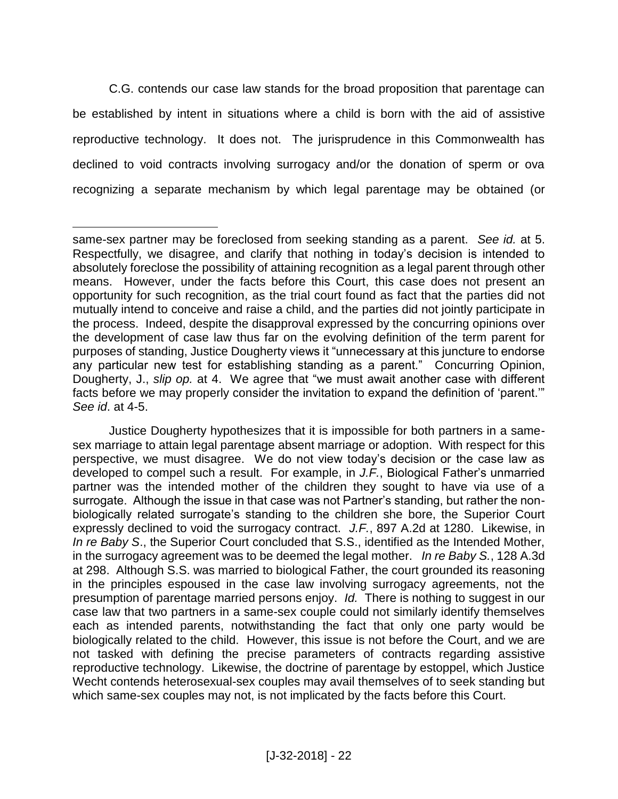C.G. contends our case law stands for the broad proposition that parentage can be established by intent in situations where a child is born with the aid of assistive reproductive technology. It does not. The jurisprudence in this Commonwealth has declined to void contracts involving surrogacy and/or the donation of sperm or ova recognizing a separate mechanism by which legal parentage may be obtained (or

Justice Dougherty hypothesizes that it is impossible for both partners in a samesex marriage to attain legal parentage absent marriage or adoption. With respect for this perspective, we must disagree. We do not view today's decision or the case law as developed to compel such a result. For example, in *J.F.*, Biological Father's unmarried partner was the intended mother of the children they sought to have via use of a surrogate. Although the issue in that case was not Partner's standing, but rather the nonbiologically related surrogate's standing to the children she bore, the Superior Court expressly declined to void the surrogacy contract. *J.F.*, 897 A.2d at 1280. Likewise, in *In re Baby S*., the Superior Court concluded that S.S., identified as the Intended Mother, in the surrogacy agreement was to be deemed the legal mother. *In re Baby S.*, 128 A.3d at 298. Although S.S. was married to biological Father, the court grounded its reasoning in the principles espoused in the case law involving surrogacy agreements, not the presumption of parentage married persons enjoy. *Id.* There is nothing to suggest in our case law that two partners in a same-sex couple could not similarly identify themselves each as intended parents, notwithstanding the fact that only one party would be biologically related to the child. However, this issue is not before the Court, and we are not tasked with defining the precise parameters of contracts regarding assistive reproductive technology. Likewise, the doctrine of parentage by estoppel, which Justice Wecht contends heterosexual-sex couples may avail themselves of to seek standing but which same-sex couples may not, is not implicated by the facts before this Court.

 $\overline{a}$ same-sex partner may be foreclosed from seeking standing as a parent. *See id.* at 5. Respectfully, we disagree, and clarify that nothing in today's decision is intended to absolutely foreclose the possibility of attaining recognition as a legal parent through other means. However, under the facts before this Court, this case does not present an opportunity for such recognition, as the trial court found as fact that the parties did not mutually intend to conceive and raise a child, and the parties did not jointly participate in the process. Indeed, despite the disapproval expressed by the concurring opinions over the development of case law thus far on the evolving definition of the term parent for purposes of standing, Justice Dougherty views it "unnecessary at this juncture to endorse any particular new test for establishing standing as a parent." Concurring Opinion, Dougherty, J., *slip op.* at 4. We agree that "we must await another case with different facts before we may properly consider the invitation to expand the definition of 'parent.'" *See id*. at 4-5.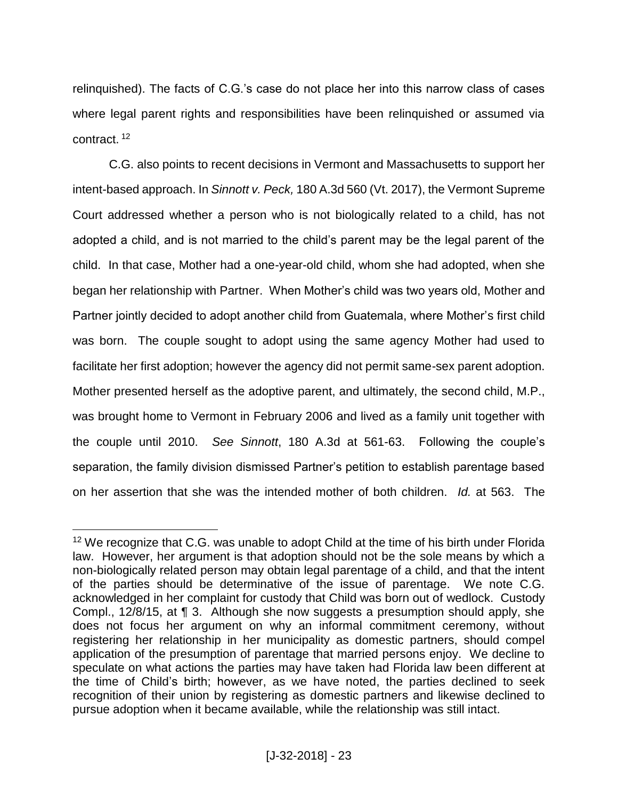relinquished). The facts of C.G.'s case do not place her into this narrow class of cases where legal parent rights and responsibilities have been relinquished or assumed via contract. <sup>12</sup>

C.G. also points to recent decisions in Vermont and Massachusetts to support her intent-based approach. In *Sinnott v. Peck,* 180 A.3d 560 (Vt. 2017), the Vermont Supreme Court addressed whether a person who is not biologically related to a child, has not adopted a child, and is not married to the child's parent may be the legal parent of the child. In that case, Mother had a one-year-old child, whom she had adopted, when she began her relationship with Partner. When Mother's child was two years old, Mother and Partner jointly decided to adopt another child from Guatemala, where Mother's first child was born. The couple sought to adopt using the same agency Mother had used to facilitate her first adoption; however the agency did not permit same-sex parent adoption. Mother presented herself as the adoptive parent, and ultimately, the second child, M.P., was brought home to Vermont in February 2006 and lived as a family unit together with the couple until 2010. *See Sinnott*, 180 A.3d at 561-63. Following the couple's separation, the family division dismissed Partner's petition to establish parentage based on her assertion that she was the intended mother of both children. *Id.* at 563. The

<sup>&</sup>lt;sup>12</sup> We recognize that C.G. was unable to adopt Child at the time of his birth under Florida law. However, her argument is that adoption should not be the sole means by which a non-biologically related person may obtain legal parentage of a child, and that the intent of the parties should be determinative of the issue of parentage. We note C.G. acknowledged in her complaint for custody that Child was born out of wedlock. Custody Compl., 12/8/15, at ¶ 3. Although she now suggests a presumption should apply, she does not focus her argument on why an informal commitment ceremony, without registering her relationship in her municipality as domestic partners, should compel application of the presumption of parentage that married persons enjoy. We decline to speculate on what actions the parties may have taken had Florida law been different at the time of Child's birth; however, as we have noted, the parties declined to seek recognition of their union by registering as domestic partners and likewise declined to pursue adoption when it became available, while the relationship was still intact.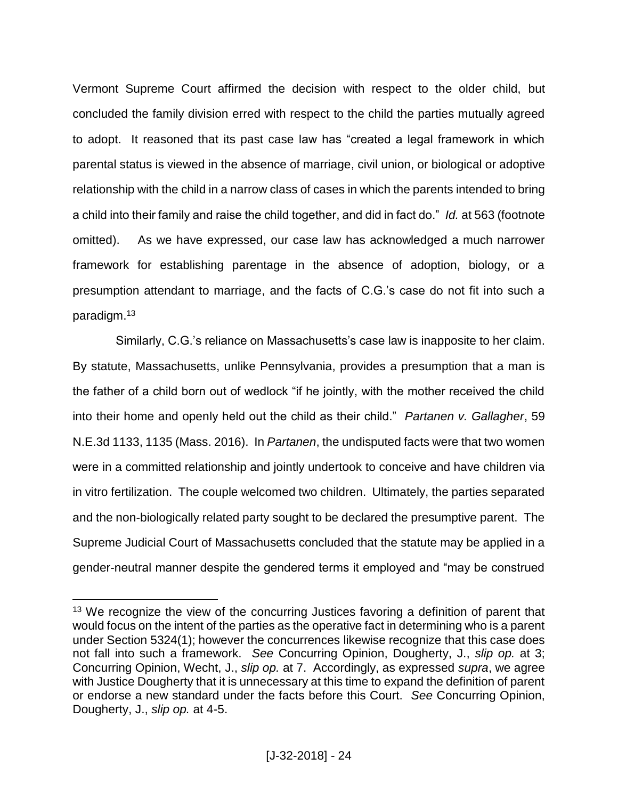Vermont Supreme Court affirmed the decision with respect to the older child, but concluded the family division erred with respect to the child the parties mutually agreed to adopt. It reasoned that its past case law has "created a legal framework in which parental status is viewed in the absence of marriage, civil union, or biological or adoptive relationship with the child in a narrow class of cases in which the parents intended to bring a child into their family and raise the child together, and did in fact do." *Id.* at 563 (footnote omitted). As we have expressed, our case law has acknowledged a much narrower framework for establishing parentage in the absence of adoption, biology, or a presumption attendant to marriage, and the facts of C.G.'s case do not fit into such a paradigm.<sup>13</sup>

 Similarly, C.G.'s reliance on Massachusetts's case law is inapposite to her claim. By statute, Massachusetts, unlike Pennsylvania, provides a presumption that a man is the father of a child born out of wedlock "if he jointly, with the mother received the child into their home and openly held out the child as their child." *Partanen v. Gallagher*, 59 N.E.3d 1133, 1135 (Mass. 2016). In *Partanen*, the undisputed facts were that two women were in a committed relationship and jointly undertook to conceive and have children via in vitro fertilization. The couple welcomed two children. Ultimately, the parties separated and the non-biologically related party sought to be declared the presumptive parent. The Supreme Judicial Court of Massachusetts concluded that the statute may be applied in a gender-neutral manner despite the gendered terms it employed and "may be construed

<sup>&</sup>lt;sup>13</sup> We recognize the view of the concurring Justices favoring a definition of parent that would focus on the intent of the parties as the operative fact in determining who is a parent under Section 5324(1); however the concurrences likewise recognize that this case does not fall into such a framework. *See* Concurring Opinion, Dougherty, J., *slip op.* at 3; Concurring Opinion, Wecht, J., *slip op.* at 7. Accordingly, as expressed *supra*, we agree with Justice Dougherty that it is unnecessary at this time to expand the definition of parent or endorse a new standard under the facts before this Court. *See* Concurring Opinion, Dougherty, J., *slip op.* at 4-5.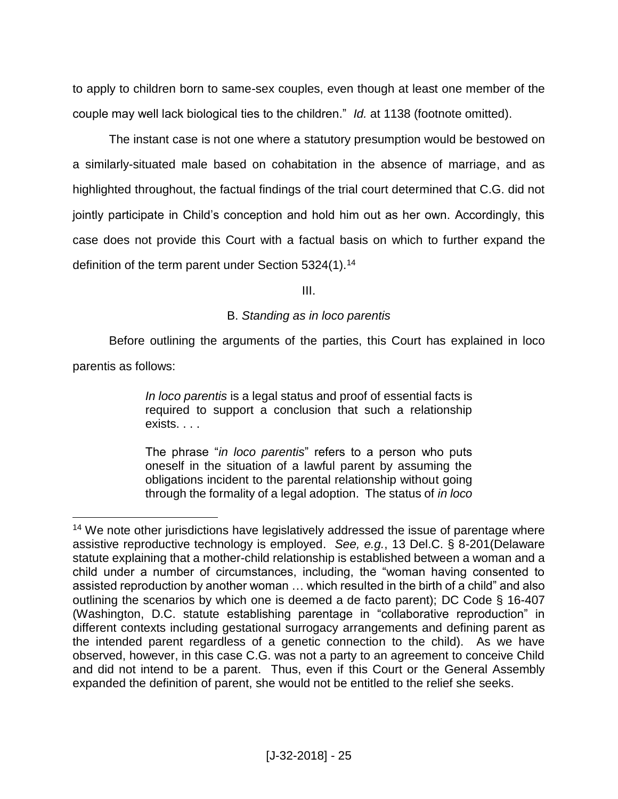to apply to children born to same-sex couples, even though at least one member of the couple may well lack biological ties to the children." *Id.* at 1138 (footnote omitted).

The instant case is not one where a statutory presumption would be bestowed on a similarly-situated male based on cohabitation in the absence of marriage, and as highlighted throughout, the factual findings of the trial court determined that C.G. did not jointly participate in Child's conception and hold him out as her own. Accordingly, this case does not provide this Court with a factual basis on which to further expand the definition of the term parent under Section 5324(1).<sup>14</sup>

III.

## B. *Standing as in loco parentis*

Before outlining the arguments of the parties, this Court has explained in loco parentis as follows:

> *In loco parentis* is a legal status and proof of essential facts is required to support a conclusion that such a relationship exists. . . .

> The phrase "*in loco parentis*" refers to a person who puts oneself in the situation of a lawful parent by assuming the obligations incident to the parental relationship without going through the formality of a legal adoption. The status of *in loco*

 $\overline{a}$ <sup>14</sup> We note other jurisdictions have legislatively addressed the issue of parentage where assistive reproductive technology is employed. *See, e.g.*, 13 Del.C. § 8-201(Delaware statute explaining that a mother-child relationship is established between a woman and a child under a number of circumstances, including, the "woman having consented to assisted reproduction by another woman … which resulted in the birth of a child" and also outlining the scenarios by which one is deemed a de facto parent); DC Code § 16-407 (Washington, D.C. statute establishing parentage in "collaborative reproduction" in different contexts including gestational surrogacy arrangements and defining parent as the intended parent regardless of a genetic connection to the child). As we have observed, however, in this case C.G. was not a party to an agreement to conceive Child and did not intend to be a parent. Thus, even if this Court or the General Assembly expanded the definition of parent, she would not be entitled to the relief she seeks.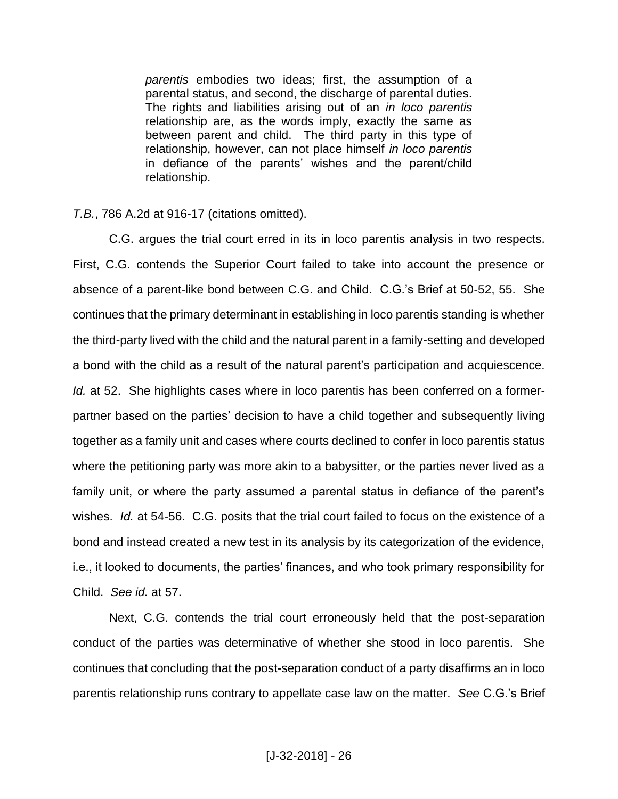*parentis* embodies two ideas; first, the assumption of a parental status, and second, the discharge of parental duties. The rights and liabilities arising out of an *in loco parentis* relationship are, as the words imply, exactly the same as between parent and child. The third party in this type of relationship, however, can not place himself *in loco parentis* in defiance of the parents' wishes and the parent/child relationship.

*T.B.*, 786 A.2d at 916-17 (citations omitted).

C.G. argues the trial court erred in its in loco parentis analysis in two respects. First, C.G. contends the Superior Court failed to take into account the presence or absence of a parent-like bond between C.G. and Child. C.G.'s Brief at 50-52, 55. She continues that the primary determinant in establishing in loco parentis standing is whether the third-party lived with the child and the natural parent in a family-setting and developed a bond with the child as a result of the natural parent's participation and acquiescence. *Id.* at 52. She highlights cases where in loco parentis has been conferred on a formerpartner based on the parties' decision to have a child together and subsequently living together as a family unit and cases where courts declined to confer in loco parentis status where the petitioning party was more akin to a babysitter, or the parties never lived as a family unit, or where the party assumed a parental status in defiance of the parent's wishes. *Id.* at 54-56. C.G. posits that the trial court failed to focus on the existence of a bond and instead created a new test in its analysis by its categorization of the evidence, i.e., it looked to documents, the parties' finances, and who took primary responsibility for Child. *See id.* at 57.

Next, C.G. contends the trial court erroneously held that the post-separation conduct of the parties was determinative of whether she stood in loco parentis. She continues that concluding that the post-separation conduct of a party disaffirms an in loco parentis relationship runs contrary to appellate case law on the matter. *See* C.G.'s Brief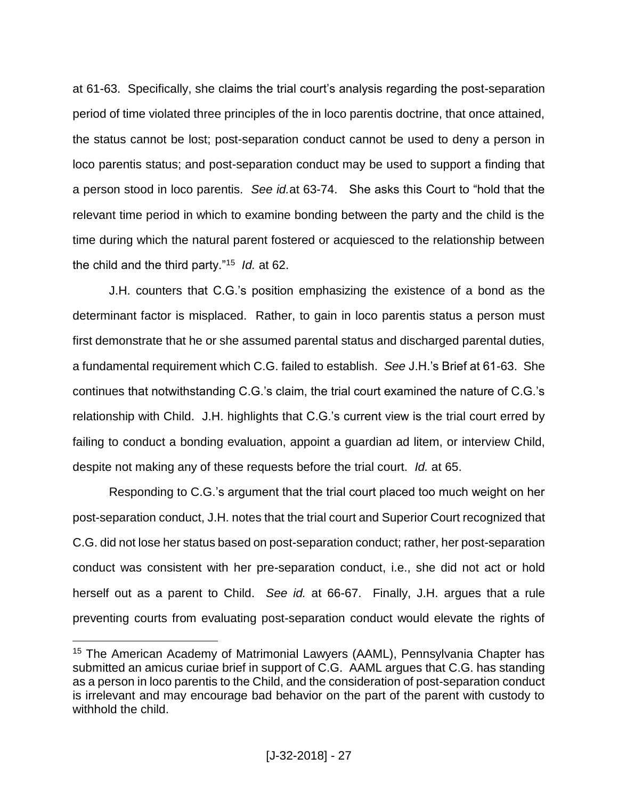at 61-63. Specifically, she claims the trial court's analysis regarding the post-separation period of time violated three principles of the in loco parentis doctrine, that once attained, the status cannot be lost; post-separation conduct cannot be used to deny a person in loco parentis status; and post-separation conduct may be used to support a finding that a person stood in loco parentis. *See id.*at 63-74. She asks this Court to "hold that the relevant time period in which to examine bonding between the party and the child is the time during which the natural parent fostered or acquiesced to the relationship between the child and the third party."<sup>15</sup> *Id.* at 62.

J.H. counters that C.G.'s position emphasizing the existence of a bond as the determinant factor is misplaced. Rather, to gain in loco parentis status a person must first demonstrate that he or she assumed parental status and discharged parental duties, a fundamental requirement which C.G. failed to establish. *See* J.H.'s Brief at 61-63. She continues that notwithstanding C.G.'s claim, the trial court examined the nature of C.G.'s relationship with Child. J.H. highlights that C.G.'s current view is the trial court erred by failing to conduct a bonding evaluation, appoint a guardian ad litem, or interview Child, despite not making any of these requests before the trial court. *Id.* at 65.

Responding to C.G.'s argument that the trial court placed too much weight on her post-separation conduct, J.H. notes that the trial court and Superior Court recognized that C.G. did not lose her status based on post-separation conduct; rather, her post-separation conduct was consistent with her pre-separation conduct, i.e., she did not act or hold herself out as a parent to Child. *See id.* at 66-67. Finally, J.H. argues that a rule preventing courts from evaluating post-separation conduct would elevate the rights of

<sup>15</sup> The American Academy of Matrimonial Lawyers (AAML), Pennsylvania Chapter has submitted an amicus curiae brief in support of C.G. AAML argues that C.G. has standing as a person in loco parentis to the Child, and the consideration of post-separation conduct is irrelevant and may encourage bad behavior on the part of the parent with custody to withhold the child.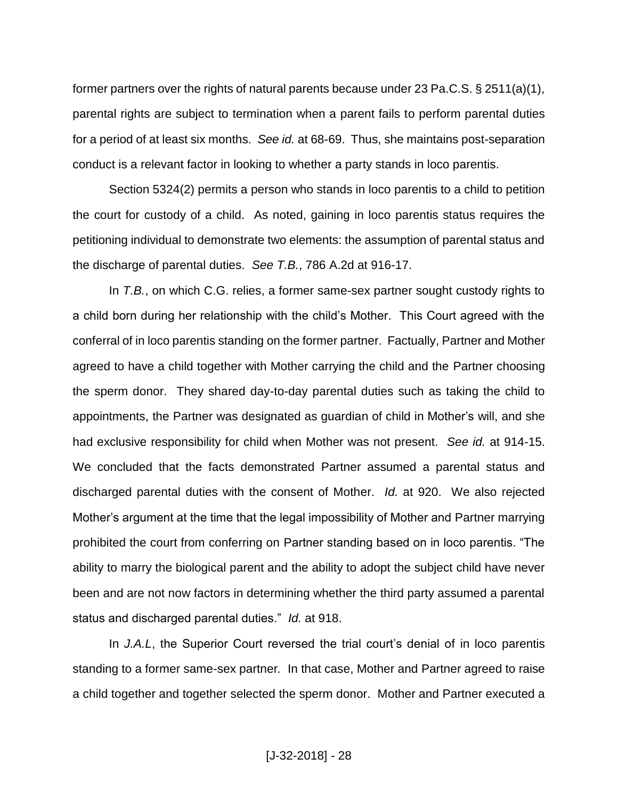former partners over the rights of natural parents because under 23 Pa.C.S. § 2511(a)(1), parental rights are subject to termination when a parent fails to perform parental duties for a period of at least six months. *See id.* at 68-69. Thus, she maintains post-separation conduct is a relevant factor in looking to whether a party stands in loco parentis.

Section 5324(2) permits a person who stands in loco parentis to a child to petition the court for custody of a child. As noted, gaining in loco parentis status requires the petitioning individual to demonstrate two elements: the assumption of parental status and the discharge of parental duties. *See T.B.*, 786 A.2d at 916-17.

In *T.B.*, on which C.G. relies, a former same-sex partner sought custody rights to a child born during her relationship with the child's Mother. This Court agreed with the conferral of in loco parentis standing on the former partner. Factually, Partner and Mother agreed to have a child together with Mother carrying the child and the Partner choosing the sperm donor. They shared day-to-day parental duties such as taking the child to appointments, the Partner was designated as guardian of child in Mother's will, and she had exclusive responsibility for child when Mother was not present. *See id.* at 914-15. We concluded that the facts demonstrated Partner assumed a parental status and discharged parental duties with the consent of Mother. *Id.* at 920. We also rejected Mother's argument at the time that the legal impossibility of Mother and Partner marrying prohibited the court from conferring on Partner standing based on in loco parentis. "The ability to marry the biological parent and the ability to adopt the subject child have never been and are not now factors in determining whether the third party assumed a parental status and discharged parental duties." *Id.* at 918.

In *J.A.L*, the Superior Court reversed the trial court's denial of in loco parentis standing to a former same-sex partner*.* In that case, Mother and Partner agreed to raise a child together and together selected the sperm donor. Mother and Partner executed a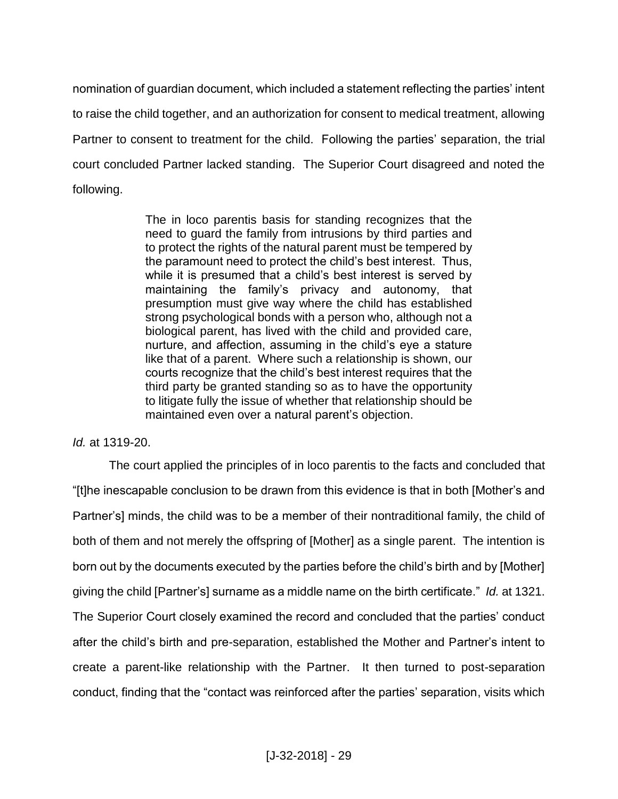nomination of guardian document, which included a statement reflecting the parties' intent to raise the child together, and an authorization for consent to medical treatment, allowing Partner to consent to treatment for the child. Following the parties' separation, the trial court concluded Partner lacked standing. The Superior Court disagreed and noted the following.

> The in loco parentis basis for standing recognizes that the need to guard the family from intrusions by third parties and to protect the rights of the natural parent must be tempered by the paramount need to protect the child's best interest. Thus, while it is presumed that a child's best interest is served by maintaining the family's privacy and autonomy, that presumption must give way where the child has established strong psychological bonds with a person who, although not a biological parent, has lived with the child and provided care, nurture, and affection, assuming in the child's eye a stature like that of a parent. Where such a relationship is shown, our courts recognize that the child's best interest requires that the third party be granted standing so as to have the opportunity to litigate fully the issue of whether that relationship should be maintained even over a natural parent's objection.

## *Id.* at 1319-20.

The court applied the principles of in loco parentis to the facts and concluded that "[t]he inescapable conclusion to be drawn from this evidence is that in both [Mother's and Partner's] minds, the child was to be a member of their nontraditional family, the child of both of them and not merely the offspring of [Mother] as a single parent. The intention is born out by the documents executed by the parties before the child's birth and by [Mother] giving the child [Partner's] surname as a middle name on the birth certificate." *Id.* at 1321. The Superior Court closely examined the record and concluded that the parties' conduct after the child's birth and pre-separation, established the Mother and Partner's intent to create a parent-like relationship with the Partner. It then turned to post-separation conduct, finding that the "contact was reinforced after the parties' separation, visits which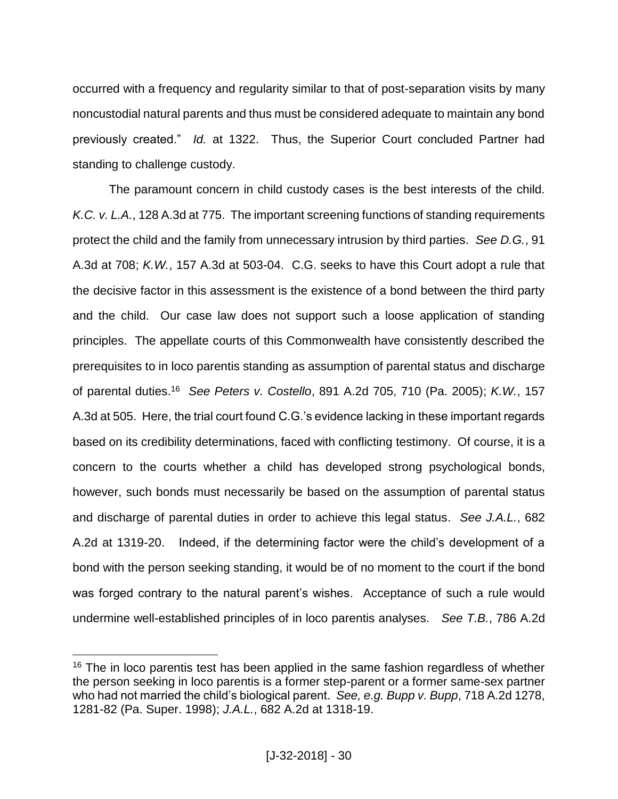occurred with a frequency and regularity similar to that of post-separation visits by many noncustodial natural parents and thus must be considered adequate to maintain any bond previously created." *Id.* at 1322. Thus, the Superior Court concluded Partner had standing to challenge custody.

The paramount concern in child custody cases is the best interests of the child. *K.C. v. L.A.*, 128 A.3d at 775. The important screening functions of standing requirements protect the child and the family from unnecessary intrusion by third parties. *See D.G.*, 91 A.3d at 708; *K.W.*, 157 A.3d at 503-04. C.G. seeks to have this Court adopt a rule that the decisive factor in this assessment is the existence of a bond between the third party and the child. Our case law does not support such a loose application of standing principles. The appellate courts of this Commonwealth have consistently described the prerequisites to in loco parentis standing as assumption of parental status and discharge of parental duties. 16 *See Peters v. Costello*, 891 A.2d 705, 710 (Pa. 2005); *K.W.*, 157 A.3d at 505. Here, the trial court found C.G.'s evidence lacking in these important regards based on its credibility determinations, faced with conflicting testimony. Of course, it is a concern to the courts whether a child has developed strong psychological bonds, however, such bonds must necessarily be based on the assumption of parental status and discharge of parental duties in order to achieve this legal status. *See J.A.L.*, 682 A.2d at 1319-20. Indeed, if the determining factor were the child's development of a bond with the person seeking standing, it would be of no moment to the court if the bond was forged contrary to the natural parent's wishes. Acceptance of such a rule would undermine well-established principles of in loco parentis analyses. *See T.B.*, 786 A.2d

<sup>&</sup>lt;sup>16</sup> The in loco parentis test has been applied in the same fashion regardless of whether the person seeking in loco parentis is a former step-parent or a former same-sex partner who had not married the child's biological parent. *See, e.g. Bupp v. Bupp*, 718 A.2d 1278, 1281-82 (Pa. Super. 1998); *J.A.L.*, 682 A.2d at 1318-19.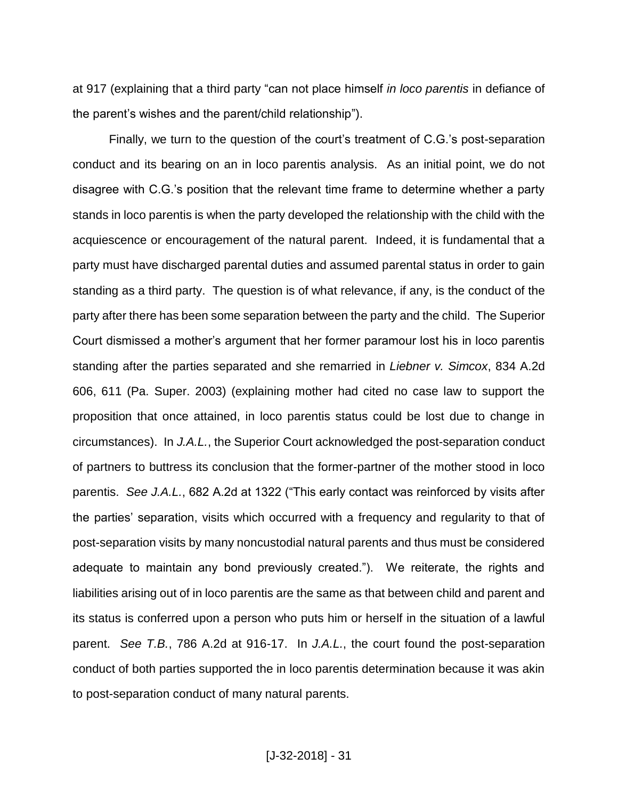at 917 (explaining that a third party "can not place himself *in loco parentis* in defiance of the parent's wishes and the parent/child relationship").

Finally, we turn to the question of the court's treatment of C.G.'s post-separation conduct and its bearing on an in loco parentis analysis. As an initial point, we do not disagree with C.G.'s position that the relevant time frame to determine whether a party stands in loco parentis is when the party developed the relationship with the child with the acquiescence or encouragement of the natural parent. Indeed, it is fundamental that a party must have discharged parental duties and assumed parental status in order to gain standing as a third party. The question is of what relevance, if any, is the conduct of the party after there has been some separation between the party and the child. The Superior Court dismissed a mother's argument that her former paramour lost his in loco parentis standing after the parties separated and she remarried in *Liebner v. Simcox*, 834 A.2d 606, 611 (Pa. Super. 2003) (explaining mother had cited no case law to support the proposition that once attained, in loco parentis status could be lost due to change in circumstances). In *J.A.L.*, the Superior Court acknowledged the post-separation conduct of partners to buttress its conclusion that the former-partner of the mother stood in loco parentis. *See J.A.L.*, 682 A.2d at 1322 ("This early contact was reinforced by visits after the parties' separation, visits which occurred with a frequency and regularity to that of post-separation visits by many noncustodial natural parents and thus must be considered adequate to maintain any bond previously created."). We reiterate, the rights and liabilities arising out of in loco parentis are the same as that between child and parent and its status is conferred upon a person who puts him or herself in the situation of a lawful parent. *See T.B.*, 786 A.2d at 916-17. In *J.A.L.*, the court found the post-separation conduct of both parties supported the in loco parentis determination because it was akin to post-separation conduct of many natural parents.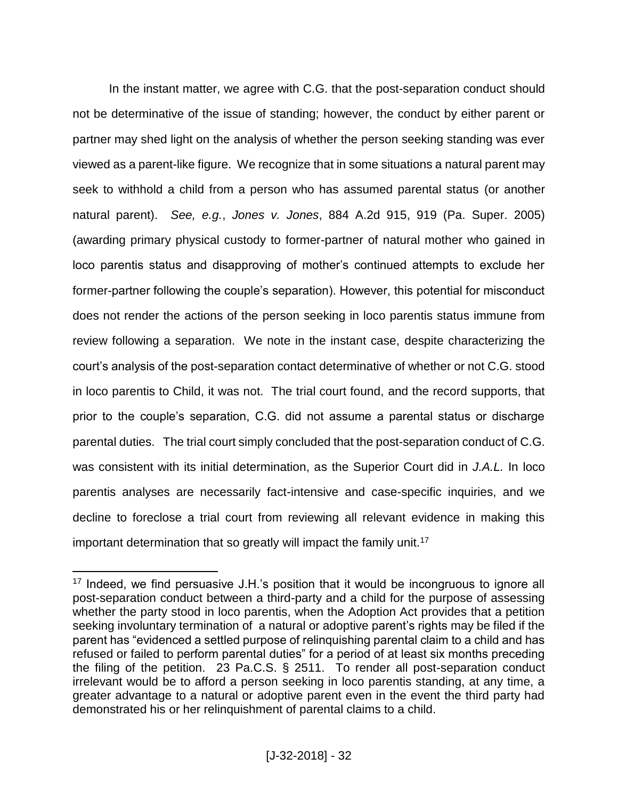In the instant matter, we agree with C.G. that the post-separation conduct should not be determinative of the issue of standing; however, the conduct by either parent or partner may shed light on the analysis of whether the person seeking standing was ever viewed as a parent-like figure. We recognize that in some situations a natural parent may seek to withhold a child from a person who has assumed parental status (or another natural parent). *See, e.g.*, *Jones v. Jones*, 884 A.2d 915, 919 (Pa. Super. 2005) (awarding primary physical custody to former-partner of natural mother who gained in loco parentis status and disapproving of mother's continued attempts to exclude her former-partner following the couple's separation). However, this potential for misconduct does not render the actions of the person seeking in loco parentis status immune from review following a separation. We note in the instant case, despite characterizing the court's analysis of the post-separation contact determinative of whether or not C.G. stood in loco parentis to Child, it was not. The trial court found, and the record supports, that prior to the couple's separation, C.G. did not assume a parental status or discharge parental duties. The trial court simply concluded that the post-separation conduct of C.G. was consistent with its initial determination, as the Superior Court did in *J.A.L.* In loco parentis analyses are necessarily fact-intensive and case-specific inquiries, and we decline to foreclose a trial court from reviewing all relevant evidence in making this important determination that so greatly will impact the family unit.<sup>17</sup>

<sup>&</sup>lt;sup>17</sup> Indeed, we find persuasive J.H.'s position that it would be incongruous to ignore all post-separation conduct between a third-party and a child for the purpose of assessing whether the party stood in loco parentis, when the Adoption Act provides that a petition seeking involuntary termination of a natural or adoptive parent's rights may be filed if the parent has "evidenced a settled purpose of relinquishing parental claim to a child and has refused or failed to perform parental duties" for a period of at least six months preceding the filing of the petition. 23 Pa.C.S. § 2511. To render all post-separation conduct irrelevant would be to afford a person seeking in loco parentis standing, at any time, a greater advantage to a natural or adoptive parent even in the event the third party had demonstrated his or her relinquishment of parental claims to a child.